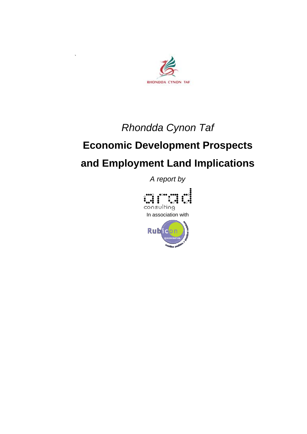

`

## *Rhondda Cynon Taf*

# **Economic Development Prospects and Employment Land Implications**

*A report by* 

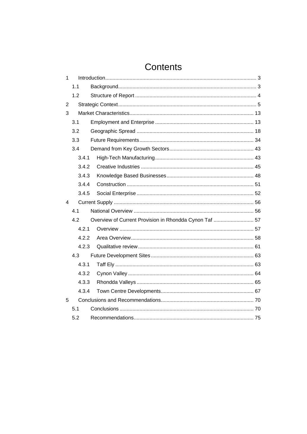## Contents

| $\mathbf{1}$   |       |                                                        |  |
|----------------|-------|--------------------------------------------------------|--|
|                | 1.1   |                                                        |  |
|                | 1.2   |                                                        |  |
| $\overline{2}$ |       |                                                        |  |
| 3              |       |                                                        |  |
|                | 3.1   |                                                        |  |
|                | 3.2   |                                                        |  |
|                | 3.3   |                                                        |  |
|                | 3.4   |                                                        |  |
|                | 3.4.1 |                                                        |  |
|                | 3.4.2 |                                                        |  |
|                | 3.4.3 |                                                        |  |
|                | 3.4.4 |                                                        |  |
|                | 3.4.5 |                                                        |  |
| 4              |       |                                                        |  |
|                | 4.1   |                                                        |  |
|                | 4.2   | Overview of Current Provision in Rhondda Cynon Taf  57 |  |
|                | 4.2.1 |                                                        |  |
|                | 4.2.2 |                                                        |  |
|                | 4.2.3 |                                                        |  |
|                | 4.3   |                                                        |  |
|                | 4.3.1 |                                                        |  |
|                | 4.3.2 |                                                        |  |
|                | 4.3.3 |                                                        |  |
|                | 4.3.4 |                                                        |  |
|                |       |                                                        |  |
| 5              |       |                                                        |  |
|                | 5.1   |                                                        |  |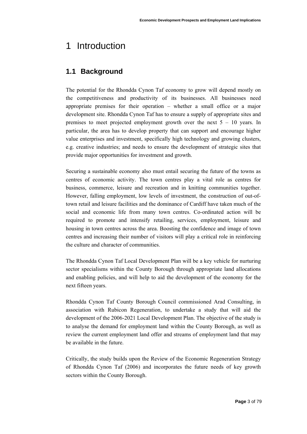## <span id="page-2-0"></span>1 Introduction

## **1.1 Background**

The potential for the Rhondda Cynon Taf economy to grow will depend mostly on the competitiveness and productivity of its businesses. All businesses need appropriate premises for their operation – whether a small office or a major development site. Rhondda Cynon Taf has to ensure a supply of appropriate sites and premises to meet projected employment growth over the next  $5 - 10$  years. In particular, the area has to develop property that can support and encourage higher value enterprises and investment, specifically high technology and growing clusters, e.g. creative industries; and needs to ensure the development of strategic sites that provide major opportunities for investment and growth.

Securing a sustainable economy also must entail securing the future of the towns as centres of economic activity. The town centres play a vital role as centres for business, commerce, leisure and recreation and in knitting communities together. However, falling employment, low levels of investment, the construction of out-oftown retail and leisure facilities and the dominance of Cardiff have taken much of the social and economic life from many town centres. Co-ordinated action will be required to promote and intensify retailing, services, employment, leisure and housing in town centres across the area. Boosting the confidence and image of town centres and increasing their number of visitors will play a critical role in reinforcing the culture and character of communities.

The Rhondda Cynon Taf Local Development Plan will be a key vehicle for nurturing sector specialisms within the County Borough through appropriate land allocations and enabling policies, and will help to aid the development of the economy for the next fifteen years.

Rhondda Cynon Taf County Borough Council commissioned Arad Consulting, in association with Rubicon Regeneration, to undertake a study that will aid the development of the 2006-2021 Local Development Plan. The objective of the study is to analyse the demand for employment land within the County Borough, as well as review the current employment land offer and streams of employment land that may be available in the future.

Critically, the study builds upon the Review of the Economic Regeneration Strategy of Rhondda Cynon Taf (2006) and incorporates the future needs of key growth sectors within the County Borough.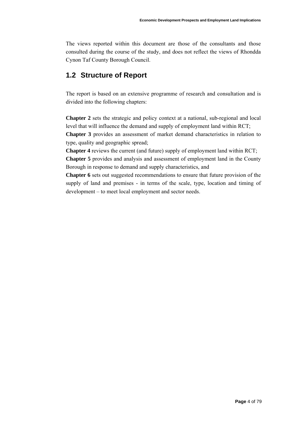<span id="page-3-0"></span>The views reported within this document are those of the consultants and those consulted during the course of the study, and does not reflect the views of Rhondda Cynon Taf County Borough Council.

### **1.2 Structure of Report**

The report is based on an extensive programme of research and consultation and is divided into the following chapters:

**Chapter 2** sets the strategic and policy context at a national, sub-regional and local level that will influence the demand and supply of employment land within RCT; **Chapter 3** provides an assessment of market demand characteristics in relation to type, quality and geographic spread;

**Chapter 4** reviews the current (and future) supply of employment land within RCT; **Chapter 5** provides and analysis and assessment of employment land in the County Borough in response to demand and supply characteristics, and

**Chapter 6** sets out suggested recommendations to ensure that future provision of the supply of land and premises - in terms of the scale, type, location and timing of development – to meet local employment and sector needs.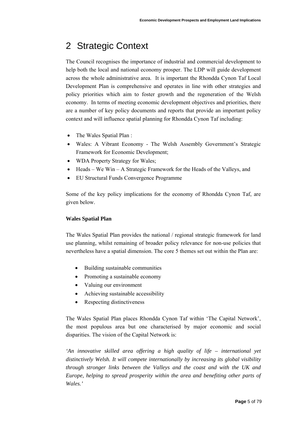## <span id="page-4-0"></span>2 Strategic Context

The Council recognises the importance of industrial and commercial development to help both the local and national economy prosper. The LDP will guide development across the whole administrative area. It is important the Rhondda Cynon Taf Local Development Plan is comprehensive and operates in line with other strategies and policy priorities which aim to foster growth and the regeneration of the Welsh economy. In terms of meeting economic development objectives and priorities, there are a number of key policy documents and reports that provide an important policy context and will influence spatial planning for Rhondda Cynon Taf including:

- The Wales Spatial Plan :
- Wales: A Vibrant Economy The Welsh Assembly Government's Strategic Framework for Economic Development;
- WDA Property Strategy for Wales;
- Heads We Win A Strategic Framework for the Heads of the Valleys, and
- EU Structural Funds Convergence Programme

Some of the key policy implications for the economy of Rhondda Cynon Taf, are given below.

#### **Wales Spatial Plan**

The Wales Spatial Plan provides the national / regional strategic framework for land use planning, whilst remaining of broader policy relevance for non-use policies that nevertheless have a spatial dimension. The core 5 themes set out within the Plan are:

- Building sustainable communities
- Promoting a sustainable economy
- Valuing our environment
- Achieving sustainable accessibility
- Respecting distinctiveness

The Wales Spatial Plan places Rhondda Cynon Taf within 'The Capital Network', the most populous area but one characterised by major economic and social disparities. The vision of the Capital Network is:

*'An innovative skilled area offering a high quality of life – international yet distinctively Welsh. It will compete internationally by increasing its global visibility through stronger links between the Valleys and the coast and with the UK and Europe, helping to spread prosperity within the area and benefiting other parts of Wales.'*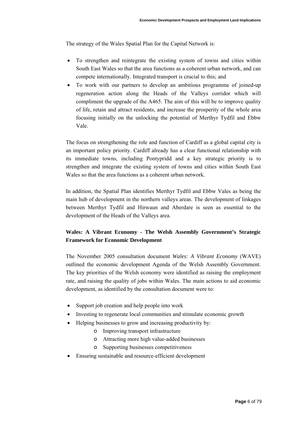The strategy of the Wales Spatial Plan for the Capital Network is:

- To strengthen and reintegrate the existing system of towns and cities within South East Wales so that the area functions as a coherent urban network, and can compete internationally. Integrated transport is crucial to this; and
- To work with our partners to develop an ambitious programme of joined-up regeneration action along the Heads of the Valleys corridor which will compliment the upgrade of the A465. The aim of this will be to improve quality of life, retain and attract residents, and increase the prosperity of the whole area focusing initially on the unlocking the potential of Merthyr Tydfil and Ebbw Vale.

The focus on strengthening the role and function of Cardiff as a global capital city is an important policy priority. Cardiff already has a clear functional relationship with its immediate towns, including Pontypridd and a key strategic priority is to strengthen and integrate the existing system of towns and cities within South East Wales so that the area functions as a coherent urban network.

In addition, the Spatial Plan identifies Merthyr Tydfil and Ebbw Vales as being the main hub of development in the northern valleys areas. The development of linkages between Merthyr Tydfil and Hirwaun and Aberdare is seen as essential to the development of the Heads of the Valleys area.

#### **Wales: A Vibrant Economy - The Welsh Assembly Government's Strategic Framework for Economic Development**

The November 2005 consultation document *Wales: A Vibrant Economy* (WAVE) outlined the economic development Agenda of the Welsh Assembly Government. The key priorities of the Welsh economy were identified as raising the employment rate, and raising the quality of jobs within Wales. The main actions to aid economic development, as identified by the consultation document were to:

- Support job creation and help people into work
- Investing to regenerate local communities and stimulate economic growth
- Helping businesses to grow and increasing productivity by:
	- o Improving transport infrastructure
	- o Attracting more high value-added businesses
	- o Supporting businesses competitiveness
- Ensuring sustainable and resource-efficient development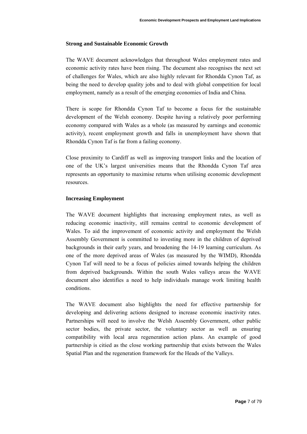#### **Strong and Sustainable Economic Growth**

The WAVE document acknowledges that throughout Wales employment rates and economic activity rates have been rising. The document also recognises the next set of challenges for Wales, which are also highly relevant for Rhondda Cynon Taf, as being the need to develop quality jobs and to deal with global competition for local employment, namely as a result of the emerging economies of India and China.

There is scope for Rhondda Cynon Taf to become a focus for the sustainable development of the Welsh economy. Despite having a relatively poor performing economy compared with Wales as a whole (as measured by earnings and economic activity), recent employment growth and falls in unemployment have shown that Rhondda Cynon Taf is far from a failing economy.

Close proximity to Cardiff as well as improving transport links and the location of one of the UK's largest universities means that the Rhondda Cynon Taf area represents an opportunity to maximise returns when utilising economic development resources.

#### **Increasing Employment**

The WAVE document highlights that increasing employment rates, as well as reducing economic inactivity, still remains central to economic development of Wales. To aid the improvement of economic activity and employment the Welsh Assembly Government is committed to investing more in the children of deprived backgrounds in their early years, and broadening the 14-19 learning curriculum. As one of the more deprived areas of Wales (as measured by the WIMD), Rhondda Cynon Taf will need to be a focus of policies aimed towards helping the children from deprived backgrounds. Within the south Wales valleys areas the WAVE document also identifies a need to help individuals manage work limiting health conditions.

The WAVE document also highlights the need for effective partnership for developing and delivering actions designed to increase economic inactivity rates. Partnerships will need to involve the Welsh Assembly Government, other public sector bodies, the private sector, the voluntary sector as well as ensuring compatibility with local area regeneration action plans. An example of good partnership is citied as the close working partnership that exists between the Wales Spatial Plan and the regeneration framework for the Heads of the Valleys.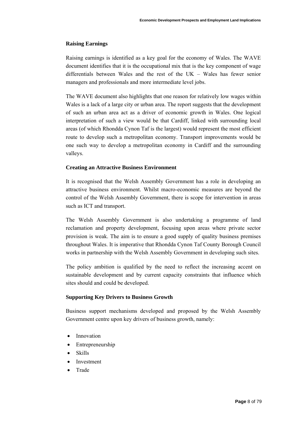#### **Raising Earnings**

Raising earnings is identified as a key goal for the economy of Wales. The WAVE document identifies that it is the occupational mix that is the key component of wage differentials between Wales and the rest of the UK – Wales has fewer senior managers and professionals and more intermediate level jobs.

The WAVE document also highlights that one reason for relatively low wages within Wales is a lack of a large city or urban area. The report suggests that the development of such an urban area act as a driver of economic growth in Wales. One logical interpretation of such a view would be that Cardiff, linked with surrounding local areas (of which Rhondda Cynon Taf is the largest) would represent the most efficient route to develop such a metropolitan economy. Transport improvements would be one such way to develop a metropolitan economy in Cardiff and the surrounding valleys.

#### **Creating an Attractive Business Environment**

It is recognised that the Welsh Assembly Government has a role in developing an attractive business environment. Whilst macro-economic measures are beyond the control of the Welsh Assembly Government, there is scope for intervention in areas such as ICT and transport.

The Welsh Assembly Government is also undertaking a programme of land reclamation and property development, focusing upon areas where private sector provision is weak. The aim is to ensure a good supply of quality business premises throughout Wales. It is imperative that Rhondda Cynon Taf County Borough Council works in partnership with the Welsh Assembly Government in developing such sites.

The policy ambition is qualified by the need to reflect the increasing accent on sustainable development and by current capacity constraints that influence which sites should and could be developed.

#### **Supporting Key Drivers to Business Growth**

Business support mechanisms developed and proposed by the Welsh Assembly Government centre upon key drivers of business growth, namely:

- Innovation
- Entrepreneurship
- Skills
- **Investment**
- Trade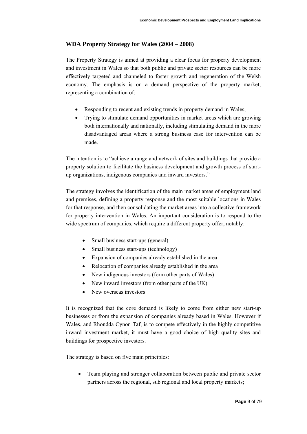#### **WDA Property Strategy for Wales (2004 – 2008)**

The Property Strategy is aimed at providing a clear focus for property development and investment in Wales so that both public and private sector resources can be more effectively targeted and channeled to foster growth and regeneration of the Welsh economy. The emphasis is on a demand perspective of the property market, representing a combination of:

- Responding to recent and existing trends in property demand in Wales;
- Trying to stimulate demand opportunities in market areas which are growing both internationally and nationally, including stimulating demand in the more disadvantaged areas where a strong business case for intervention can be made.

The intention is to "achieve a range and network of sites and buildings that provide a property solution to facilitate the business development and growth process of startup organizations, indigenous companies and inward investors."

The strategy involves the identification of the main market areas of employment land and premises, defining a property response and the most suitable locations in Wales for that response, and then consolidating the market areas into a collective framework for property intervention in Wales. An important consideration is to respond to the wide spectrum of companies, which require a different property offer, notably:

- Small business start-ups (general)
- Small business start-ups (technology)
- Expansion of companies already established in the area
- Relocation of companies already established in the area
- New indigenous investors (form other parts of Wales)
- New inward investors (from other parts of the UK)
- New overseas investors

It is recognized that the core demand is likely to come from either new start-up businesses or from the expansion of companies already based in Wales. However if Wales, and Rhondda Cynon Taf, is to compete effectively in the highly competitive inward investment market, it must have a good choice of high quality sites and buildings for prospective investors.

The strategy is based on five main principles:

• Team playing and stronger collaboration between public and private sector partners across the regional, sub regional and local property markets;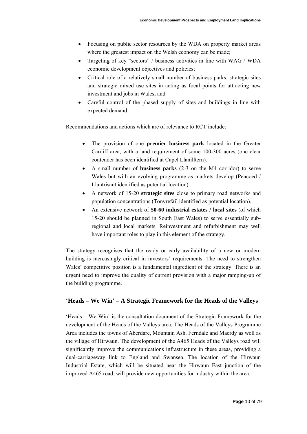- Focusing on public sector resources by the WDA on property market areas where the greatest impact on the Welsh economy can be made;
- Targeting of key "sectors" / business activities in line with WAG / WDA economic development objectives and policies;
- Critical role of a relatively small number of business parks, strategic sites and strategic mixed use sites in acting as focal points for attracting new investment and jobs in Wales, and
- Careful control of the phased supply of sites and buildings in line with expected demand.

Recommendations and actions which are of relevance to RCT include:

- The provision of one **premier business park** located in the Greater Cardiff area, with a land requirement of some 100-300 acres (one clear contender has been identified at Capel Llanilltern).
- A small number of **business parks** (2-3 on the M4 corridor) to serve Wales but with an evolving programme as markets develop (Pencoed / Llantrisant identified as potential location).
- A network of 15-20 **strategic sites** close to primary road networks and population concentrations (Tonyrefail identified as potential location).
- An extensive network of **50-60 industrial estates / local sites** (of which 15-20 should be planned in South East Wales) to serve essentially subregional and local markets. Reinvestment and refurbishment may well have important roles to play in this element of the strategy.

The strategy recognises that the ready or early availability of a new or modern building is increasingly critical in investors' requirements. The need to strengthen Wales' competitive position is a fundamental ingredient of the strategy. There is an urgent need to improve the quality of current provision with a major ramping-up of the building programme.

#### '**Heads – We Win' – A Strategic Framework for the Heads of the Valleys**

'Heads – We Win' is the consultation document of the Strategic Framework for the development of the Heads of the Valleys area. The Heads of the Valleys Programme Area includes the towns of Aberdare, Mountain Ash, Ferndale and Maerdy as well as the village of Hirwaun. The development of the A465 Heads of the Valleys road will significantly improve the communications infrastructure in these areas, providing a dual-carriageway link to England and Swansea. The location of the Hirwaun Industrial Estate, which will be situated near the Hirwaun East junction of the improved A465 road, will provide new opportunities for industry within the area.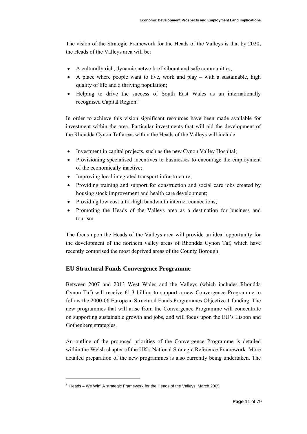The vision of the Strategic Framework for the Heads of the Valleys is that by 2020, the Heads of the Valleys area will be:

- A culturally rich, dynamic network of vibrant and safe communities;
- A place where people want to live, work and play with a sustainable, high quality of life and a thriving population;
- Helping to drive the success of South East Wales as an internationally recognised Capital Region.<sup>[1](#page-10-0)</sup>

In order to achieve this vision significant resources have been made available for investment within the area. Particular investments that will aid the development of the Rhondda Cynon Taf areas within the Heads of the Valleys will include:

- Investment in capital projects, such as the new Cynon Valley Hospital;
- Provisioning specialised incentives to businesses to encourage the employment of the economically inactive;
- Improving local integrated transport infrastructure;
- Providing training and support for construction and social care jobs created by housing stock improvement and health care development;
- Providing low cost ultra-high bandwidth internet connections;
- Promoting the Heads of the Valleys area as a destination for business and tourism.

The focus upon the Heads of the Valleys area will provide an ideal opportunity for the development of the northern valley areas of Rhondda Cynon Taf, which have recently comprised the most deprived areas of the County Borough.

#### **EU Structural Funds Convergence Programme**

Between 2007 and 2013 West Wales and the Valleys (which includes Rhondda Cynon Taf) will receive £1.3 billion to support a new Convergence Programme to follow the 2000-06 European Structural Funds Programmes Objective 1 funding. The new programmes that will arise from the Convergence Programme will concentrate on supporting sustainable growth and jobs, and will focus upon the EU's Lisbon and Gothenberg strategies.

An outline of the proposed priorities of the Convergence Programme is detailed within the Welsh chapter of the UK's National Strategic Reference Framework. More detailed preparation of the new programmes is also currently being undertaken. The

l

<span id="page-10-0"></span> $<sup>1</sup>$  'Heads – We Win' A strategic Framework for the Heads of the Valleys, March 2005</sup>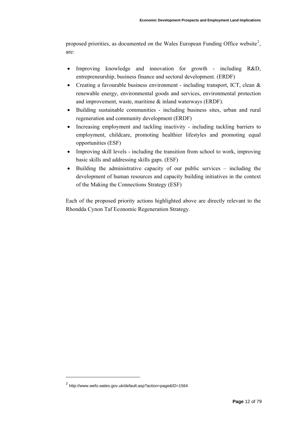proposed priorities, as documented on the Wales European Funding Office website<sup>[2](#page-11-0)</sup>, are:

- Improving knowledge and innovation for growth including R&D, entrepreneurship, business finance and sectoral development. (ERDF)
- Creating a favourable business environment including transport, ICT, clean  $\&$ renewable energy, environmental goods and services, environmental protection and improvement, waste, maritime & inland waterways (ERDF).
- Building sustainable communities including business sites, urban and rural regeneration and community development (ERDF)
- Increasing employment and tackling inactivity including tackling barriers to employment, childcare, promoting healthier lifestyles and promoting equal opportunities (ESF)
- Improving skill levels including the transition from school to work, improving basic skills and addressing skills gaps. (ESF)
- Building the administrative capacity of our public services including the development of human resources and capacity building initiatives in the context of the Making the Connections Strategy (ESF)

Each of the proposed priority actions highlighted above are directly relevant to the Rhondda Cynon Taf Economic Regeneration Strategy.

l

<span id="page-11-0"></span><sup>2</sup> http://www.wefo.wales.gov.uk/default.asp?action=page&ID=1564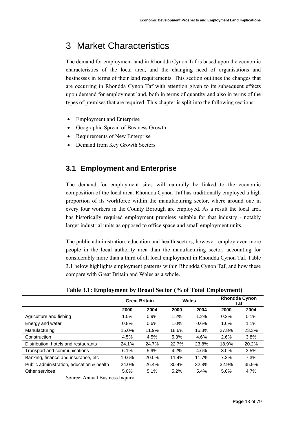## <span id="page-12-0"></span>3 Market Characteristics

The demand for employment land in Rhondda Cynon Taf is based upon the economic characteristics of the local area, and the changing need of organisations and businesses in terms of their land requirements. This section outlines the changes that are occurring in Rhondda Cynon Taf with attention given to its subsequent effects upon demand for employment land, both in terms of quantity and also in terms of the types of premises that are required. This chapter is split into the following sections:

- Employment and Enterprise
- Geographic Spread of Business Growth
- Requirements of New Enterprise
- Demand from Key Growth Sectors

## **3.1 Employment and Enterprise**

The demand for employment sites will naturally be linked to the economic composition of the local area. Rhondda Cynon Taf has traditionally employed a high proportion of its workforce within the manufacturing sector, where around one in every four workers in the County Borough are employed. As a result the local area has historically required employment premises suitable for that industry - notably larger industrial units as opposed to office space and small employment units.

The public administration, education and health sectors, however, employ even more people in the local authority area than the manufacturing sector, accounting for considerably more than a third of all local employment in Rhondda Cynon Taf. Table 3.1 below highlights employment patterns within Rhondda Cynon Taf, and how these compare with Great Britain and Wales as a whole.

|                                           | <b>Great Britain</b> |       | Wales |       | <b>Rhondda Cynon</b><br>Taf |       |
|-------------------------------------------|----------------------|-------|-------|-------|-----------------------------|-------|
|                                           | 2000                 | 2004  | 2000  | 2004  | 2000                        | 2004  |
| Agriculture and fishing                   | 1.0%                 | 0.9%  | 1.2%  | 1.2%  | 0.2%                        | 0.1%  |
| Energy and water                          | 0.8%                 | 0.6%  | 1.0%  | 0.6%  | 1.6%                        | 1.1%  |
| Manufacturing                             | 15.0%                | 11.9% | 18.6% | 15.3% | 27.8%                       | 23.3% |
| Construction                              | 4.5%                 | 4.5%  | 5.3%  | 4.6%  | 2.6%                        | 3.8%  |
| Distribution, hotels and restaurants      | 24.1%                | 24.7% | 22.7% | 23.8% | 18.9%                       | 20.2% |
| Transport and communications              | 6.1%                 | 5.9%  | 4.2%  | 4.6%  | 3.0%                        | 3.5%  |
| Banking, finance and insurance, etc.      | 19.6%                | 20.0% | 11.4% | 11.7% | 7.3%                        | 7.3%  |
| Public administration, education & health | 24.0%                | 26.4% | 30.4% | 32.8% | 32.9%                       | 35.9% |
| Other services                            | 5.0%                 | 5.1%  | 5.2%  | 5.4%  | 5.6%                        | 4.7%  |

**Table 3.1: Employment by Broad Sector (% of Total Employment)** 

Source: Annual Business Inquiry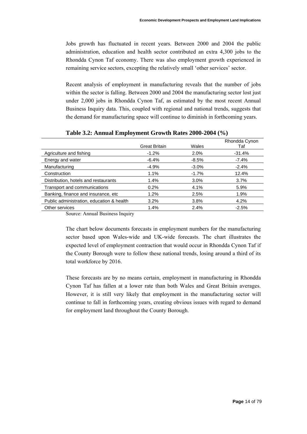Jobs growth has fluctuated in recent years. Between 2000 and 2004 the public administration, education and health sector contributed an extra 4,300 jobs to the Rhondda Cynon Taf economy. There was also employment growth experienced in remaining service sectors, excepting the relatively small 'other services' sector.

Recent analysis of employment in manufacturing reveals that the number of jobs within the sector is falling. Between 2000 and 2004 the manufacturing sector lost just under 2,000 jobs in Rhondda Cynon Taf, as estimated by the most recent Annual Business Inquiry data. This, coupled with regional and national trends, suggests that the demand for manufacturing space will continue to diminish in forthcoming years.

|                                                                               |                      |          | Rhondda Cynon |
|-------------------------------------------------------------------------------|----------------------|----------|---------------|
|                                                                               | <b>Great Britain</b> | Wales    | Taf           |
| Agriculture and fishing                                                       | $-1.2%$              | 2.0%     | $-31.4%$      |
| Energy and water                                                              | $-6.4%$              | $-8.5%$  | $-7.4%$       |
| Manufacturing                                                                 | $-4.9%$              | $-3.0\%$ | $-2.4%$       |
| Construction                                                                  | 1.1%                 | $-1.7\%$ | 12.4%         |
| Distribution, hotels and restaurants                                          | 1.4%                 | $3.0\%$  | 3.7%          |
| Transport and communications                                                  | 0.2%                 | 4.1%     | 5.9%          |
| Banking, finance and insurance, etc.                                          | 1.2%                 | 2.5%     | 1.9%          |
| Public administration, education & health                                     | 3.2%                 | 3.8%     | 4.2%          |
| Other services                                                                | 1.4%                 | 2.4%     | $-2.5%$       |
| $\sim$ $\sim$ $\sim$<br>$\mathbf{r}$<br>$\sim$ $\sim$<br>$\sim$ $\sim$ $\sim$ |                      |          |               |

**Table 3.2: Annual Employment Growth Rates 2000-2004 (%)** 

Source: Annual Business Inquiry

The chart below documents forecasts in employment numbers for the manufacturing sector based upon Wales-wide and UK-wide forecasts. The chart illustrates the expected level of employment contraction that would occur in Rhondda Cynon Taf if the County Borough were to follow these national trends, losing around a third of its total workforce by 2016.

These forecasts are by no means certain, employment in manufacturing in Rhondda Cynon Taf has fallen at a lower rate than both Wales and Great Britain averages. However, it is still very likely that employment in the manufacturing sector will continue to fall in forthcoming years, creating obvious issues with regard to demand for employment land throughout the County Borough.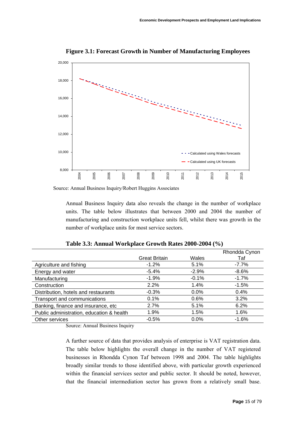

**Figure 3.1: Forecast Growth in Number of Manufacturing Employees**

Source: Annual Business Inquiry/Robert Huggins Associates

Annual Business Inquiry data also reveals the change in the number of workplace units. The table below illustrates that between 2000 and 2004 the number of manufacturing and construction workplace units fell, whilst there was growth in the number of workplace units for most service sectors.

|                                           |                      |          | Rhondda Cynon |
|-------------------------------------------|----------------------|----------|---------------|
|                                           | <b>Great Britain</b> | Wales    | Taf           |
| Agriculture and fishing                   | $-1.2%$              | 5.1%     | $-7.7\%$      |
| Energy and water                          | $-5.4\%$             | $-2.9%$  | $-8.6\%$      |
| Manufacturing                             | $-1.9%$              | $-0.1\%$ | $-1.7\%$      |
| Construction                              | 2.2%                 | $1.4\%$  | $-1.5%$       |
| Distribution, hotels and restaurants      | $-0.3%$              | $0.0\%$  | $0.4\%$       |
| Transport and communications              | 0.1%                 | 0.6%     | 3.2%          |
| Banking, finance and insurance, etc       | 2.7%                 | 5.1%     | 6.2%          |
| Public administration, education & health | 1.9%                 | 1.5%     | $1.6\%$       |
| Other services                            | $-0.5%$              | $0.0\%$  | $-1.6%$       |

**Table 3.3: Annual Workplace Growth Rates 2000-2004 (%)** 

Source: Annual Business Inquiry

A further source of data that provides analysis of enterprise is VAT registration data. The table below highlights the overall change in the number of VAT registered businesses in Rhondda Cynon Taf between 1998 and 2004. The table highlights broadly similar trends to those identified above, with particular growth experienced within the financial services sector and public sector. It should be noted, however, that the financial intermediation sector has grown from a relatively small base.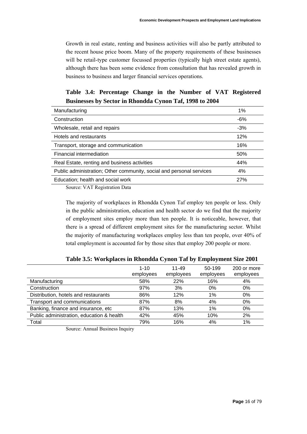Growth in real estate, renting and business activities will also be partly attributed to the recent house price boom. Many of the property requirements of these businesses will be retail-type customer focussed properties (typically high street estate agents), although there has been some evidence from consultation that has revealed growth in business to business and larger financial services operations.

### **Table 3.4: Percentage Change in the Number of VAT Registered Businesses by Sector in Rhondda Cynon Taf, 1998 to 2004**

| Manufacturing                                                        | 1%    |
|----------------------------------------------------------------------|-------|
| Construction                                                         | $-6%$ |
| Wholesale, retail and repairs                                        | $-3%$ |
| Hotels and restaurants                                               | 12%   |
| Transport, storage and communication                                 | 16%   |
| Financial intermediation                                             | 50%   |
| Real Estate, renting and business activities                         | 44%   |
| Public administration; Other community, social and personal services | 4%    |
| Education; health and social work                                    | 27%   |
|                                                                      |       |

Source: VAT Registration Data

The majority of workplaces in Rhondda Cynon Taf employ ten people or less. Only in the public administration, education and health sector do we find that the majority of employment sites employ more than ten people. It is noticeable, however, that there is a spread of different employment sites for the manufacturing sector. Whilst the majority of manufacturing workplaces employ less than ten people, over 40% of total employment is accounted for by those sites that employ 200 people or more.

|                                           | $1 - 10$<br>employees | $11 - 49$<br>employees | 50-199<br>employees | 200 or more<br>employees |
|-------------------------------------------|-----------------------|------------------------|---------------------|--------------------------|
| Manufacturing                             | 58%                   | 22%                    | 16%                 | 4%                       |
| Construction                              | 97%                   | 3%                     | 0%                  | 0%                       |
| Distribution, hotels and restaurants      | 86%                   | 12%                    | 1%                  | 0%                       |
| Transport and communications              | 87%                   | 8%                     | 4%                  | 0%                       |
| Banking, finance and insurance, etc       | 87%                   | 13%                    | 1%                  | 0%                       |
| Public administration, education & health | 42%                   | 45%                    | 10%                 | 2%                       |
| Total                                     | 79%                   | 16%                    | 4%                  | 1%                       |

**Table 3.5: Workplaces in Rhondda Cynon Taf by Employment Size 2001** 

Source: Annual Business Inquiry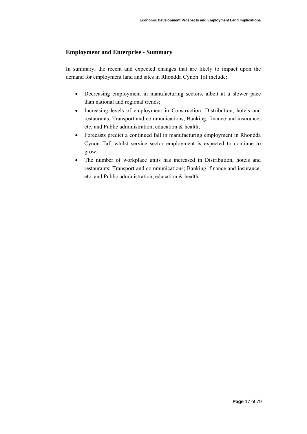#### **Employment and Enterprise - Summary**

In summary, the recent and expected changes that are likely to impact upon the demand for employment land and sites in Rhondda Cynon Taf include:

- Decreasing employment in manufacturing sectors, albeit at a slower pace than national and regional trends;
- Increasing levels of employment in Construction; Distribution, hotels and restaurants; Transport and communications; Banking, finance and insurance; etc; and Public administration, education & health;
- Forecasts predict a continued fall in manufacturing employment in Rhondda Cynon Taf, whilst service sector employment is expected to continue to grow;
- The number of workplace units has increased in Distribution, hotels and restaurants; Transport and communications; Banking, finance and insurance, etc; and Public administration, education & health.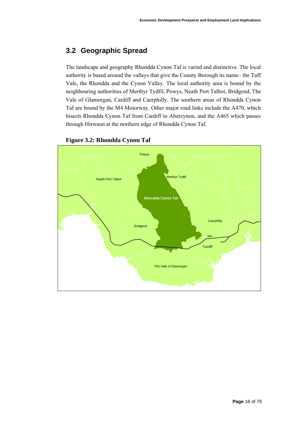## <span id="page-17-0"></span>**3.2 Geographic Spread**

The landscape and geography Rhondda Cynon Taf is varied and distinctive. The local authority is based around the valleys that give the County Borough its name– the Taff Vale, the Rhondda and the Cynon Valley. The local authority area is bound by the neighbouring authorities of Merthyr Tydfil, Powys, Neath Port Talbot, Bridgend, The Vale of Glamorgan, Cardiff and Caerphilly. The southern areas of Rhondda Cynon Taf are bound by the M4 Motorway. Other major road links include the A470, which bisects Rhondda Cynon Taf from Cardiff to Abercynon, and the A465 which passes through Hirwaun at the northern edge of Rhondda Cynon Taf.



#### **Figure 3.2: Rhondda Cynon Taf**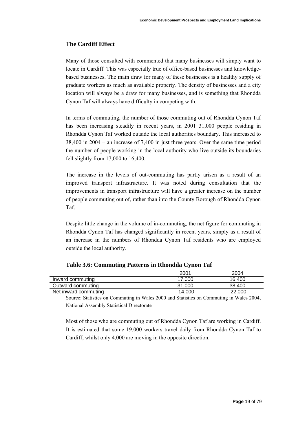#### **The Cardiff Effect**

Many of those consulted with commented that many businesses will simply want to locate in Cardiff. This was especially true of office-based businesses and knowledgebased businesses. The main draw for many of these businesses is a healthy supply of graduate workers as much as available property. The density of businesses and a city location will always be a draw for many businesses, and is something that Rhondda Cynon Taf will always have difficulty in competing with.

In terms of commuting, the number of those commuting out of Rhondda Cynon Taf has been increasing steadily in recent years, in 2001 31,000 people residing in Rhondda Cynon Taf worked outside the local authorities boundary. This increased to 38,400 in 2004 – an increase of 7,400 in just three years. Over the same time period the number of people working in the local authority who live outside its boundaries fell slightly from 17,000 to 16,400.

The increase in the levels of out-commuting has partly arisen as a result of an improved transport infrastructure. It was noted during consultation that the improvements in transport infrastructure will have a greater increase on the number of people commuting out of, rather than into the County Borough of Rhondda Cynon Taf.

Despite little change in the volume of in-commuting, the net figure for commuting in Rhondda Cynon Taf has changed significantly in recent years, simply as a result of an increase in the numbers of Rhondda Cynon Taf residents who are employed outside the local authority.

|                      | 2001      | 2004      |
|----------------------|-----------|-----------|
| Inward commuting     | 17.000    | 16.400    |
| Outward commuting    | 31,000    | 38.400    |
| Net inward commuting | $-14,000$ | $-22,000$ |

**Table 3.6: Commuting Patterns in Rhondda Cynon Taf** 

Source: Statistics on Commuting in Wales 2000 and Statistics on Commuting in Wales 2004, National Assembly Statistical Directorate

Most of those who are commuting out of Rhondda Cynon Taf are working in Cardiff. It is estimated that some 19,000 workers travel daily from Rhondda Cynon Taf to Cardiff, whilst only 4,000 are moving in the opposite direction.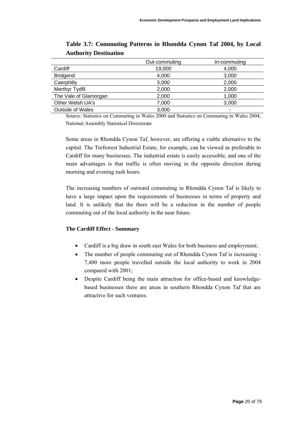|                         | Out-commuting | In-commuting |
|-------------------------|---------------|--------------|
| Cardiff                 | 19,000        | 4,000        |
| <b>Bridgend</b>         | 4,000         | 3,000        |
| Caerphilly              | 3,000         | 2,000        |
| Merthyr Tydfil          | 2,000         | 2,000        |
| The Vale of Glamorgan   | 2,000         | 1,000        |
| Other Welsh UA's        | 7,000         | 3,000        |
| <b>Outside of Wales</b> | 3,000         | -            |

**Table 3.7: Commuting Patterns in Rhondda Cynon Taf 2004, by Local Authority Destination** 

Source: Statistics on Commuting in Wales 2000 and Statistics on Commuting in Wales 2004, National Assembly Statistical Directorate

Some areas in Rhondda Cynon Taf, however, are offering a viable alternative to the capital. The Trefrorest Industrial Estate, for example, can be viewed as preferable to Cardiff for many businesses. The industrial estate is easily accessible, and one of the main advantages is that traffic is often moving in the opposite direction during morning and evening rush hours.

The increasing numbers of outward commuting in Rhondda Cynon Taf is likely to have a large impact upon the requirements of businesses in terms of property and land. It is unlikely that the there will be a reduction in the number of people commuting out of the local authority in the near future.

#### **The Cardiff Effect - Summary**

- Cardiff is a big draw in south east Wales for both business and employment;
- The number of people commuting out of Rhondda Cynon Taf is increasing -7,400 more people travelled outside the local authority to work in 2004 compared with 2001;
- Despite Cardiff being the main attraction for office-based and knowledgebased businesses there are areas in southern Rhondda Cynon Taf that are attractive for such ventures.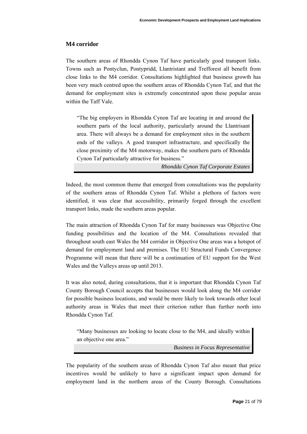#### **M4 corridor**

The southern areas of Rhondda Cynon Taf have particularly good transport links. Towns such as Pontyclun, Pontypridd, Llantristant and Trefforest all benefit from close links to the M4 corridor. Consultations highlighted that business growth has been very much centred upon the southern areas of Rhondda Cynon Taf, and that the demand for employment sites is extremely concentrated upon these popular areas within the Taff Vale.

"The big employers in Rhondda Cynon Taf are locating in and around the southern parts of the local authority, particularly around the Llantrisant area. There will always be a demand for employment sites in the southern ends of the valleys. A good transport infrastructure, and specifically the close proximity of the M4 motorway, makes the southern parts of Rhondda Cynon Taf particularly attractive for business."

*Rhondda Cynon Taf Corporate Estates* 

Indeed, the most common theme that emerged from consultations was the popularity of the southern areas of Rhondda Cynon Taf. Whilst a plethora of factors were identified, it was clear that accessibility, primarily forged through the excellent transport links, made the southern areas popular.

The main attraction of Rhondda Cynon Taf for many businesses was Objective One funding possibilities and the location of the M4. Consultations revealed that throughout south east Wales the M4 corridor in Objective One areas was a hotspot of demand for employment land and premises. The EU Structural Funds Convergence Programme will mean that there will be a continuation of EU support for the West Wales and the Valleys areas up until 2013.

It was also noted, during consultations, that it is important that Rhondda Cynon Taf County Borough Council accepts that businesses would look along the M4 corridor for possible business locations, and would be more likely to look towards other local authority areas in Wales that meet their criterion rather than further north into Rhondda Cynon Taf.

"Many businesses are looking to locate close to the M4, and ideally within an objective one area."

*Business in Focus Representative* 

The popularity of the southern areas of Rhondda Cynon Taf also meant that price incentives would be unlikely to have a significant impact upon demand for employment land in the northern areas of the County Borough. Consultations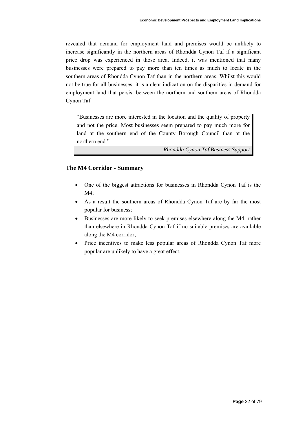revealed that demand for employment land and premises would be unlikely to increase significantly in the northern areas of Rhondda Cynon Taf if a significant price drop was experienced in those area. Indeed, it was mentioned that many businesses were prepared to pay more than ten times as much to locate in the southern areas of Rhondda Cynon Taf than in the northern areas. Whilst this would not be true for all businesses, it is a clear indication on the disparities in demand for employment land that persist between the northern and southern areas of Rhondda Cynon Taf.

"Businesses are more interested in the location and the quality of property and not the price. Most businesses seem prepared to pay much more for land at the southern end of the County Borough Council than at the northern end."

*Rhondda Cynon Taf Business Support* 

#### **The M4 Corridor - Summary**

- One of the biggest attractions for businesses in Rhondda Cynon Taf is the M4;
- As a result the southern areas of Rhondda Cynon Taf are by far the most popular for business;
- Businesses are more likely to seek premises elsewhere along the M4, rather than elsewhere in Rhondda Cynon Taf if no suitable premises are available along the M4 corridor;
- Price incentives to make less popular areas of Rhondda Cynon Taf more popular are unlikely to have a great effect.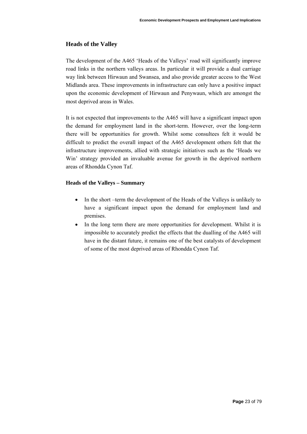#### **Heads of the Valley**

The development of the A465 'Heads of the Valleys' road will significantly improve road links in the northern valleys areas. In particular it will provide a dual carriage way link between Hirwaun and Swansea, and also provide greater access to the West Midlands area. These improvements in infrastructure can only have a positive impact upon the economic development of Hirwaun and Penywaun, which are amongst the most deprived areas in Wales.

It is not expected that improvements to the A465 will have a significant impact upon the demand for employment land in the short-term. However, over the long-term there will be opportunities for growth. Whilst some consultees felt it would be difficult to predict the overall impact of the A465 development others felt that the infrastructure improvements, allied with strategic initiatives such as the 'Heads we Win' strategy provided an invaluable avenue for growth in the deprived northern areas of Rhondda Cynon Taf.

#### **Heads of the Valleys – Summary**

- In the short –term the development of the Heads of the Valleys is unlikely to have a significant impact upon the demand for employment land and premises.
- In the long term there are more opportunities for development. Whilst it is impossible to accurately predict the effects that the dualling of the A465 will have in the distant future, it remains one of the best catalysts of development of some of the most deprived areas of Rhondda Cynon Taf.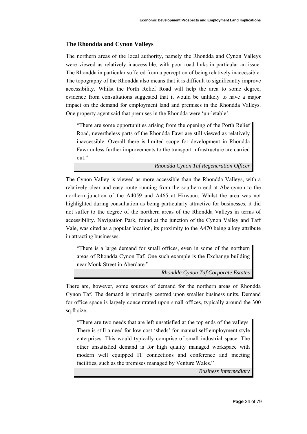#### **The Rhondda and Cynon Valleys**

The northern areas of the local authority, namely the Rhondda and Cynon Valleys were viewed as relatively inaccessible, with poor road links in particular an issue. The Rhondda in particular suffered from a perception of being relatively inaccessible. The topography of the Rhondda also means that it is difficult to significantly improve accessibility. Whilst the Porth Relief Road will help the area to some degree, evidence from consultations suggested that it would be unlikely to have a major impact on the demand for employment land and premises in the Rhondda Valleys. One property agent said that premises in the Rhondda were 'un-letable'.

"There are some opportunities arising from the opening of the Porth Relief Road, nevertheless parts of the Rhondda Fawr are still viewed as relatively inaccessible. Overall there is limited scope for development in Rhondda Fawr unless further improvements to the transport infrastructure are carried out."

*Rhondda Cynon Taf Regeneration Officer* 

The Cynon Valley is viewed as more accessible than the Rhondda Valleys, with a relatively clear and easy route running from the southern end at Abercynon to the northern junction of the A4059 and A465 at Hirwaun. Whilst the area was not highlighted during consultation as being particularly attractive for businesses, it did not suffer to the degree of the northern areas of the Rhondda Valleys in terms of accessibility. Navigation Park, found at the junction of the Cynon Valley and Taff Vale, was cited as a popular location, its proximity to the A470 being a key attribute in attracting businesses.

"There is a large demand for small offices, even in some of the northern areas of Rhondda Cynon Taf. One such example is the Exchange building near Monk Street in Aberdare."

*Rhondda Cynon Taf Corporate Estates* 

There are, however, some sources of demand for the northern areas of Rhondda Cynon Taf. The demand is primarily centred upon smaller business units. Demand for office space is largely concentrated upon small offices, typically around the 300 sq.ft size.

"There are two needs that are left unsatisfied at the top ends of the valleys. There is still a need for low cost 'sheds' for manual self-employment style enterprises. This would typically comprise of small industrial space. The other unsatisfied demand is for high quality managed workspace with modern well equipped IT connections and conference and meeting facilities, such as the premises managed by Venture Wales."

*Business Intermediary*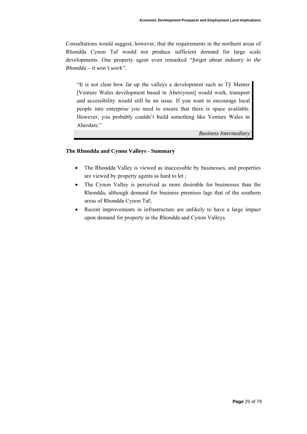Consultations would suggest, however, that the requirements in the northern areas of Rhondda Cynon Taf would not produce sufficient demand for large scale developments. One property agent even remarked *"forget about industry in the Rhondda – it won't work"*.

"It is not clear how far up the valleys a development such as Tŷ Menter [Venture Wales development based in Abercynon] would work, transport and accessibility would still be an issue. If you want to encourage local people into enterprise you need to ensure that there is space available. However, you probably couldn't build something like Venture Wales in Aberdare."

*Business Intermediary* 

#### **The Rhondda and Cynon Valleys - Summary**

- The Rhondda Valley is viewed as inaccessible by businesses, and properties are viewed by property agents as hard to let ;
- The Cynon Valley is perceived as more desirable for businesses than the Rhondda, although demand for business premises lags that of the southern areas of Rhondda Cynon Taf;
- Recent improvements in infrastructure are unlikely to have a large impact upon demand for property in the Rhondda and Cynon Valleys.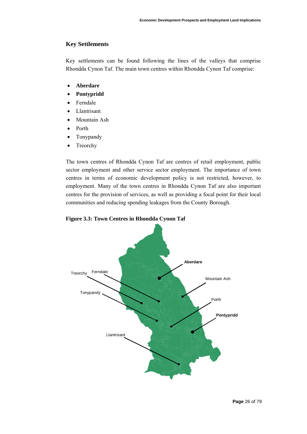#### **Key Settlements**

Key settlements can be found following the lines of the valleys that comprise Rhondda Cynon Taf. The main town centres within Rhondda Cynon Taf comprise:

- **Aberdare**
- **Pontypridd**
- **Ferndale**
- **Llantrisant**
- Mountain Ash
- Porth
- Tonypandy
- Treorchy

The town centres of Rhondda Cynon Taf are centres of retail employment, public sector employment and other service sector employment. The importance of town centres in terms of economic development policy is not restricted, however, to employment. Many of the town centres in Rhondda Cynon Taf are also important centres for the provision of services, as well as providing a focal point for their local communities and reducing spending leakages from the County Borough.



**Figure 3.3: Town Centres in Rhondda Cynon Taf**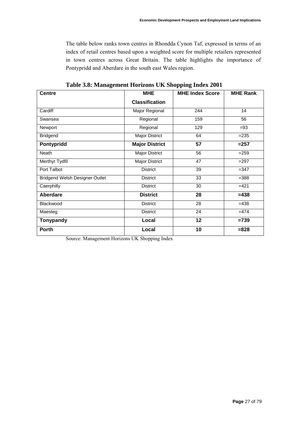The table below ranks town centres in Rhondda Cynon Taf, expressed in terms of an index of retail centres based upon a weighted score for multiple retailers represented in town centres across Great Britain. The table highlights the importance of Pontypridd and Aberdare in the south east Wales region.

| <b>Centre</b>                  | <b>MHE</b>            | <b>MHE Index Score</b> | <b>MHE Rank</b> |
|--------------------------------|-----------------------|------------------------|-----------------|
|                                | <b>Classification</b> |                        |                 |
| Cardiff                        | Major Regional        | 244                    | 14              |
| Swansea                        | Regional              | 159                    | 56              |
| Newport                        | Regional              | 129                    | $=93$           |
| <b>Bridgend</b>                | Major District        | 64                     | $= 235$         |
| Pontypridd                     | <b>Major District</b> | 57                     | $= 257$         |
| Neath                          | Major District        | 56                     | $= 259$         |
| <b>Merthyr Tydfil</b>          | Major District        | 47                     | $=297$          |
| Port Talbot                    | <b>District</b>       | 39                     | $=347$          |
| Bridgend Welsh Designer Outlet | <b>District</b>       | 33                     | $= 388$         |
| Caerphilly                     | <b>District</b>       | 30                     | $=421$          |
| Aberdare                       | <b>District</b>       | 28                     | $= 438$         |
| Blackwood                      | <b>District</b>       | 28                     | $=438$          |
| Maesteg                        | <b>District</b>       | 24                     | $=474$          |
| Tonypandy                      | Local                 | 12                     | $=739$          |
| <b>Porth</b>                   | Local                 | 10                     | $= 828$         |

**Table 3.8: Management Horizons UK Shopping Index 2001** 

Source: Management Horizons UK Shopping Index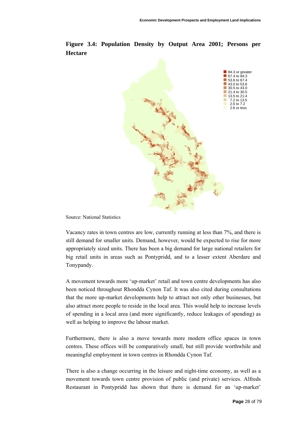

**Figure 3.4: Population Density by Output Area 2001; Persons per Hectare**

Source: National Statistics

Vacancy rates in town centres are low, currently running at less than 7%, and there is still demand for smaller units. Demand, however, would be expected to rise for more appropriately sized units. There has been a big demand for large national retailers for big retail units in areas such as Pontypridd, and to a lesser extent Aberdare and Tonypandy.

A movement towards more 'up-market' retail and town centre developments has also been noticed throughout Rhondda Cynon Taf. It was also cited during consultations that the more up-market developments help to attract not only other businesses, but also attract more people to reside in the local area. This would help to increase levels of spending in a local area (and more significantly, reduce leakages of spending) as well as helping to improve the labour market.

Furthermore, there is also a move towards more modern office spaces in town centres. These offices will be comparatively small, but still provide worthwhile and meaningful employment in town centres in Rhondda Cynon Taf.

There is also a change occurring in the leisure and night-time economy, as well as a movement towards town centre provision of public (and private) services. Alfreds Restaurant in Pontypridd has shown that there is demand for an 'up-market'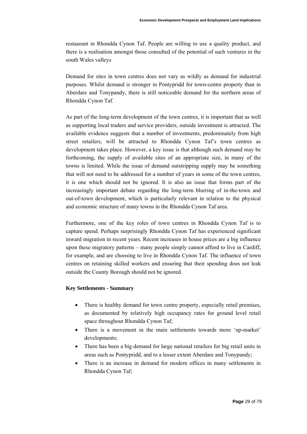restaurant in Rhondda Cynon Taf. People are willing to use a quality product, and there is a realisation amongst those consulted of the potential of such ventures in the south Wales valleys

Demand for sites in town centres does not vary as wildly as demand for industrial purposes. Whilst demand is stronger in Pontypridd for town-centre property than in Aberdare and Tonypandy, there is still noticeable demand for the northern areas of Rhondda Cynon Taf.

As part of the long-term development of the town centres, it is important that as well as supporting local traders and service providers, outside investment is attracted. The available evidence suggests that a number of investments, predominately from high street retailers, will be attracted to Rhondda Cynon Taf's town centres as development takes place. However, a key issue is that although such demand may be forthcoming, the supply of available sites of an appropriate size, in many of the towns is limited. While the issue of demand outstripping supply may be something that will not need to be addressed for a number of years in some of the town centres, it is one which should not be ignored. It is also an issue that forms part of the increasingly important debate regarding the long-term blurring of in-the-town and out-of-town development, which is particularly relevant in relation to the physical and economic structure of many towns in the Rhondda Cynon Taf area.

Furthermore, one of the key roles of town centres in Rhondda Cynon Taf is to capture spend. Perhaps surprisingly Rhondda Cynon Taf has experienced significant inward migration in recent years. Recent increases in house prices are a big influence upon these migratory patterns – many people simply cannot afford to live in Cardiff, for example, and are choosing to live in Rhondda Cynon Taf. The influence of town centres on retaining skilled workers and ensuring that their spending does not leak outside the County Borough should not be ignored.

#### **ey Settlements - Summary K**

- There is healthy demand for town centre property, especially retail premises, as documented by relatively high occupancy rates for ground level retail space throughout Rhondda Cynon Taf;
- There is a movement in the main settlements towards more 'up-market' developments;
- There has been a big demand for large national retailers for big retail units in areas such as Pontypridd, and to a lesser extent Aberdare and Tonypandy;
- There is an increase in demand for modern offices in many settlements in Rhondda Cynon Taf;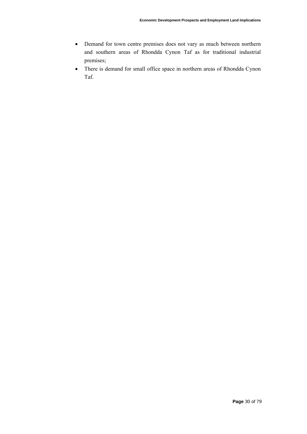- Demand for town centre premises does not vary as much between northern and southern areas of Rhondda Cynon Taf as for traditional industrial premises;
- There is demand for small office space in northern areas of Rhondda Cynon Taf.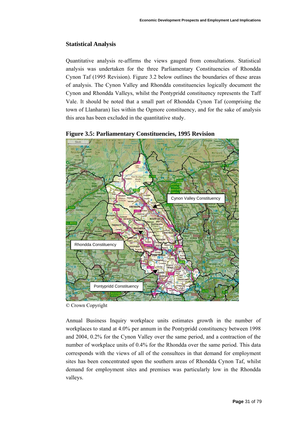#### **Statistical Analysis**

Quantitative analysis re-affirms the views gauged from consultations. Statistical analysis was undertaken for the three Parliamentary Constituencies of Rhondda Cynon Taf (1995 Revision). Figure 3.2 below outlines the boundaries of these areas of analysis. The Cynon Valley and Rhondda constituencies logically document the Cynon and Rhondda Valleys, whilst the Pontypridd constituency represents the Taff Vale. It should be noted that a small part of Rhondda Cynon Taf (comprising the town of Llanharan) lies within the Ogmore constituency, and for the sake of analysis this area has been excluded in the quantitative study.



#### **Figure 3.5: Parliamentary Constituencies, 1995 Revision**

© Crown Copyright

Annual Business Inquiry workplace units estimates growth in the number of workplaces to stand at 4.0% per annum in the Pontypridd constituency between 1998 and 2004, 0.2% for the Cynon Valley over the same period, and a contraction of the number of workplace units of 0.4% for the Rhondda over the same period. This data corresponds with the views of all of the consultees in that demand for employment sites has been concentrated upon the southern areas of Rhondda Cynon Taf, whilst demand for employment sites and premises was particularly low in the Rhondda valleys.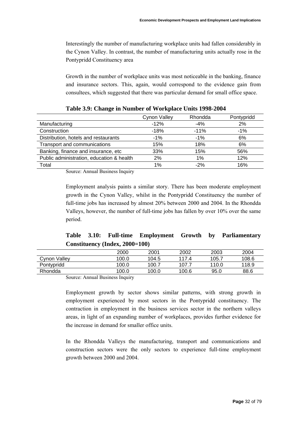Interestingly the number of manufacturing workplace units had fallen considerably in the Cynon Valley. In contrast, the number of manufacturing units actually rose in the Pontypridd Constituency area

Growth in the number of workplace units was most noticeable in the banking, finance and insurance sectors. This, again, would correspond to the evidence gain from consultees, which suggested that there was particular demand for small office space.

|                                           | Cynon Valley | Rhondda | Pontypridd |
|-------------------------------------------|--------------|---------|------------|
| Manufacturing                             | $-12%$       | -4%     | 2%         |
| Construction                              | $-18%$       | $-11%$  | $-1%$      |
| Distribution, hotels and restaurants      | $-1\%$       | $-1\%$  | 6%         |
| Transport and communications              | 15%          | 18%     | 6%         |
| Banking, finance and insurance, etc       | 33%          | 15%     | 56%        |
| Public administration, education & health | 2%           | 1%      | 12%        |
| Total                                     | $1\%$        | $-2%$   | 16%        |

Source: Annual Business Inquiry

Employment analysis paints a similar story. There has been moderate employment growth in the Cynon Valley, whilst in the Pontypridd Constituency the number of full-time jobs has increased by almost 20% between 2000 and 2004. In the Rhondda Valleys, however, the number of full-time jobs has fallen by over 10% over the same period.

### **Table 3.10: Full-time Employment Growth by Parliamentary Constituency (Index, 2000=100)**

|              | 2000                           | 2001  | 2002  | 2003  | 2004  |
|--------------|--------------------------------|-------|-------|-------|-------|
| Cynon Valley | 100.0                          | 104.5 | 1174  | 105.7 | 108.6 |
| Pontypridd   | 100.0                          | 100.7 | 107.  | 110.0 | 118.9 |
| Rhondda      | 100.0                          | 100.0 | 100.6 | 95.0  | 88.6  |
| --           | $\sim$ $\sim$<br>$\sim$ $\sim$ |       |       |       |       |

Source: Annual Business Inquiry

Employment growth by sector shows similar patterns, with strong growth in employment experienced by most sectors in the Pontypridd constituency. The contraction in employment in the business services sector in the northern valleys areas, in light of an expanding number of workplaces, provides further evidence for the increase in demand for smaller office units.

In the Rhondda Valleys the manufacturing, transport and communications and construction sectors were the only sectors to experience full-time employment growth between 2000 and 2004.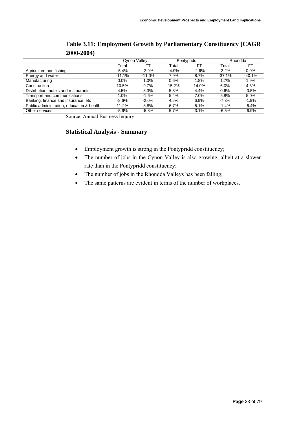|                                           | Cynon Valley |          | Pontypridd |         | Rhondda  |          |
|-------------------------------------------|--------------|----------|------------|---------|----------|----------|
|                                           | Total        | FT       | Total      | FT.     | Total    | FT.      |
| Agriculture and fishing                   | $-5.4%$      | $-2.9%$  | $-4.9%$    | $-2.6%$ | $-2.2%$  | $0.0\%$  |
| Energy and water                          | $-11.1%$     | $-11.0%$ | 7.9%       | 8.7%    | $-37.1%$ | $-40.1%$ |
| Manufacturing                             | 0.0%         | 1.0%     | 0.6%       | 1.8%    | 1.7%     | 1.9%     |
| Construction                              | 10.5%        | 9.7%     | 15.2%      | 14.0%   | 6.0%     | 4.3%     |
| Distribution, hotels and restaurants      | 4.5%         | 3.3%     | 5.8%       | 4.4%    | 0.6%     | $-3.5%$  |
| Transport and communications              | 1.0%         | $-1.6%$  | 5.4%       | 7.0%    | 5.8%     | 5.0%     |
| Banking, finance and insurance, etc       | $-8.6%$      | $-2.0%$  | 4.6%       | 6.9%    | $-7.3\%$ | $-1.9%$  |
| Public administration, education & health | 11.2%        | 8.8%     | 6.7%       | 5.1%    | $-1.4%$  | $-6.4%$  |
| Other services                            | $-5.9%$      | $-5.8%$  | 5.7%       | 3.1%    | $-6.5%$  | $-6.9%$  |

### **Table 3.11: Employment Growth by Parliamentary Constituency (CAGR 2000-2004)**

Source: Annual Business Inquiry

#### **Statistical Analysis - Summary**

- Employment growth is strong in the Pontypridd constituency;
- The number of jobs in the Cynon Valley is also growing, albeit at a slower rate than in the Pontypridd constituency;
- The number of jobs in the Rhondda Valleys has been falling;
- The same patterns are evident in terms of the number of workplaces.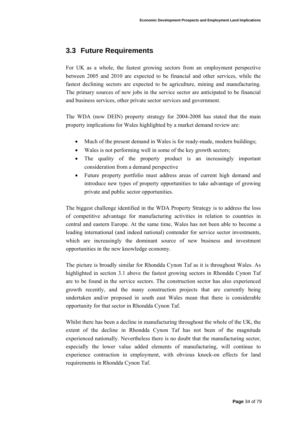## <span id="page-33-0"></span>**3.3 Future Requirements**

For UK as a whole, the fastest growing sectors from an employment perspective between 2005 and 2010 are expected to be financial and other services, while the fastest declining sectors are expected to be agriculture, mining and manufacturing. The primary sources of new jobs in the service sector are anticipated to be financial and business services, other private sector services and government.

The WDA (now DEIN) property strategy for 2004-2008 has stated that the main property implications for Wales highlighted by a market demand review are:

- Much of the present demand in Wales is for ready-made, modern buildings;
- Wales is not performing well in some of the key growth sectors;
- The quality of the property product is an increasingly important consideration from a demand perspective
- Future property portfolio must address areas of current high demand and introduce new types of property opportunities to take advantage of growing private and public sector opportunities.

The biggest challenge identified in the WDA Property Strategy is to address the loss of competitive advantage for manufacturing activities in relation to countries in central and eastern Europe. At the same time, Wales has not been able to become a leading international (and indeed national) contender for service sector investments, which are increasingly the dominant source of new business and investment opportunities in the new knowledge economy.

The picture is broadly similar for Rhondda Cynon Taf as it is throughout Wales. As highlighted in section 3.1 above the fastest growing sectors in Rhondda Cynon Taf are to be found in the service sectors. The construction sector has also experienced growth recently, and the many construction projects that are currently being undertaken and/or proposed in south east Wales mean that there is considerable opportunity for that sector in Rhondda Cynon Taf.

Whilst there has been a decline in manufacturing throughout the whole of the UK, the extent of the decline in Rhondda Cynon Taf has not been of the magnitude experienced nationally. Nevertheless there is no doubt that the manufacturing sector, especially the lower value added elements of manufacturing, will continue to experience contraction in employment, with obvious knock-on effects for land requirements in Rhondda Cynon Taf.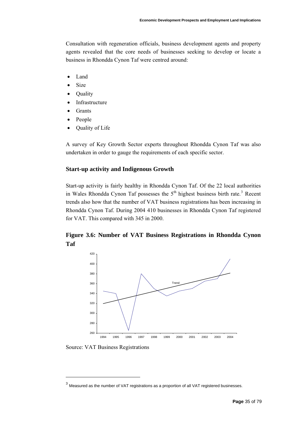Consultation with regeneration officials, business development agents and property agents revealed that the core needs of businesses seeking to develop or locate a business in Rhondda Cynon Taf were centred around:

- Land
- **Size**
- Quality
- **Infrastructure**
- **Grants**
- People
- Quality of Life

A survey of Key Growth Sector experts throughout Rhondda Cynon Taf was also undertaken in order to gauge the requirements of each specific sector.

#### **Start-up activity and Indigenous Growth**

Start-up activity is fairly healthy in Rhondda Cynon Taf. Of the 22 local authorities in Wales Rhondda Cynon Taf possesses the  $5<sup>th</sup>$  highest business birth rate.<sup>[3](#page-34-0)</sup> Recent trends also how that the number of VAT business registrations has been increasing in Rhondda Cynon Taf. During 2004 410 businesses in Rhondda Cynon Taf registered for VAT. This compared with 345 in 2000.

### **Figure 3.6: Number of VAT Business Registrations in Rhondda Cynon Taf**



Source: VAT Business Registrations

l

<span id="page-34-0"></span> $3$  Measured as the number of VAT registrations as a proportion of all VAT registered businesses.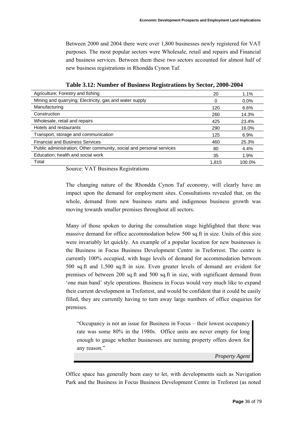Between 2000 and 2004 there were over 1,800 businesses newly registered for VAT purposes. The most popular sectors were Wholesale, retail and repairs and Financial and business services. Between them these two sectors accounted for almost half of new business registrations in Rhondda Cynon Taf.

| Agriculture; Forestry and fishing                                    | 20    | 1.1%    |
|----------------------------------------------------------------------|-------|---------|
| Mining and quarrying; Electricity, gas and water supply              |       | $0.0\%$ |
| Manufacturing                                                        | 120   | 6.6%    |
| Construction                                                         | 260   | 14.3%   |
| Wholesale, retail and repairs                                        | 425   | 23.4%   |
| Hotels and restaurants                                               | 290   | 16.0%   |
| Transport, storage and communication                                 | 125   | 6.9%    |
| <b>Financial and Business Services</b>                               | 460   | 25.3%   |
| Public administration; Other community, social and personal services | 80    | 4.4%    |
| Education; health and social work                                    | 35    | 1.9%    |
| Total                                                                | 1.815 | 100.0%  |

**Table 3.12: Number of Business Registrations by Sector, 2000-2004** 

Source: VAT Business Registrations

The changing nature of the Rhondda Cynon Taf economy, will clearly have an impact upon the demand for employment sites. Consultations revealed that, on the whole, demand from new business starts and indigenous business growth was moving towards smaller premises throughout all sectors.

Many of those spoken to during the consultation stage highlighted that there was massive demand for office accommodation below 500 sq.ft in size. Units of this size were invariably let quickly. An example of a popular location for new businesses is the Business in Focus Business Development Centre in Treforrest. The centre is currently 100% occupied, with huge levels of demand for accommodation between 500 sq.ft and 1,500 sq.ft in size. Even greater levels of demand are evident for premises of between 200 sq.ft and 500 sq.ft in size, with significant demand from 'one man band' style operations. Business in Focus would very much like to expand their current development in Treforrest, and would be confident that it could be easily filled, they are currently having to turn away large numbers of office enquiries for premises.

"Occupancy is not an issue for Business in Focus – their lowest occupancy rate was some 80% in the 1980s. Office units are never empty for long enough to gauge whether businesses are turning property offers down for any reason."

*Property Agent* 

Office space has generally been easy to let, with developments such as Navigation Park and the Business in Focus Business Development Centre in Treforest (as noted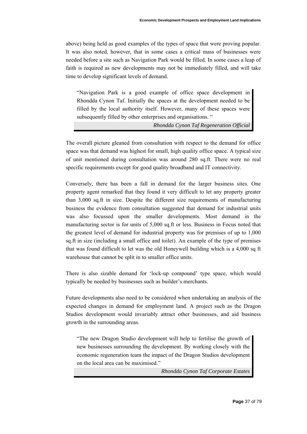above) being held as good examples of the types of space that were proving popular. It was also noted, however, that in some cases a critical mass of businesses were needed before a site such as Navigation Park would be filled. In some cases a leap of faith is required as new developments may not be immediately filled, and will take time to develop significant levels of demand.

"Navigation Park is a good example of office space development in Rhondda Cynon Taf. Initially the spaces at the development needed to be filled by the local authority itself. However, many of these spaces were subsequently filled by other enterprises and organisations. "

*Rhondda Cynon Taf Regeneration Official* 

The overall picture gleaned from consultation with respect to the demand for office space was that demand was highest for small, high quality office space. A typical size of unit mentioned during consultation was around 280 sq.ft. There were no real specific requirements except for good quality broadband and IT connectivity.

Conversely, there has been a fall in demand for the larger business sites. One property agent remarked that they found it very difficult to let any property greater than 3,000 sq.ft in size. Despite the different size requirements of manufacturing business the evidence from consultation suggested that demand for industrial units was also focussed upon the smaller developments. Most demand in the manufacturing sector is for units of 5,000 sq.ft or less. Business in Focus noted that the greatest level of demand for industrial property was for premises of up to 1,000 sq.ft in size (including a small office and toilet). An example of the type of premises that was found difficult to let was the old Honeywell building which is a 4,000 sq ft warehouse that cannot be split in to smaller office units.

There is also sizable demand for 'lock-up compound' type space, which would typically be needed by businesses such as builder's merchants.

Future developments also need to be considered when undertaking an analysis of the expected changes in demand for employment land. A project such as the Dragon Studios development would invariably attract other businesses, and aid business growth in the surrounding areas.

"The new Dragon Studio development will help to fertilise the growth of new businesses surrounding the development. By working closely with the economic regeneration team the impact of the Dragon Studios development on the local area can be maximised."

*Rhondda Cynon Taf Corporate Estates*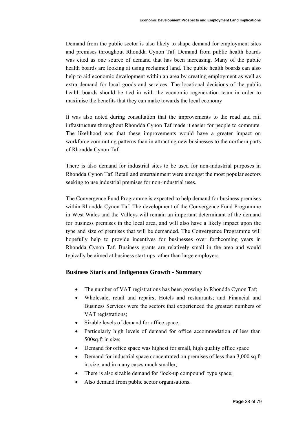Demand from the public sector is also likely to shape demand for employment sites and premises throughout Rhondda Cynon Taf. Demand from public health boards was cited as one source of demand that has been increasing. Many of the public health boards are looking at using reclaimed land. The public health boards can also help to aid economic development within an area by creating employment as well as extra demand for local goods and services. The locational decisions of the public health boards should be tied in with the economic regeneration team in order to maximise the benefits that they can make towards the local economy

It was also noted during consultation that the improvements to the road and rail infrastructure throughout Rhondda Cynon Taf made it easier for people to commute. The likelihood was that these improvements would have a greater impact on workforce commuting patterns than in attracting new businesses to the northern parts of Rhondda Cynon Taf.

There is also demand for industrial sites to be used for non-industrial purposes in Rhondda Cynon Taf. Retail and entertainment were amongst the most popular sectors seeking to use industrial premises for non-industrial uses.

The Convergence Fund Programme is expected to help demand for business premises within Rhondda Cynon Taf. The development of the Convergence Fund Programme in West Wales and the Valleys will remain an important determinant of the demand for business premises in the local area, and will also have a likely impact upon the type and size of premises that will be demanded. The Convergence Programme will hopefully help to provide incentives for businesses over forthcoming years in Rhondda Cynon Taf. Business grants are relatively small in the area and would typically be aimed at business start-ups rather than large employers

## **Business Starts and Indigenous Growth - Summary**

- The number of VAT registrations has been growing in Rhondda Cynon Taf;
- Wholesale, retail and repairs; Hotels and restaurants; and Financial and Business Services were the sectors that experienced the greatest numbers of VAT registrations;
- Sizable levels of demand for office space;
- Particularly high levels of demand for office accommodation of less than 500sq.ft in size;
- Demand for office space was highest for small, high quality office space
- Demand for industrial space concentrated on premises of less than 3,000 sq.ft in size, and in many cases much smaller;
- There is also sizable demand for 'lock-up compound' type space;
- Also demand from public sector organisations.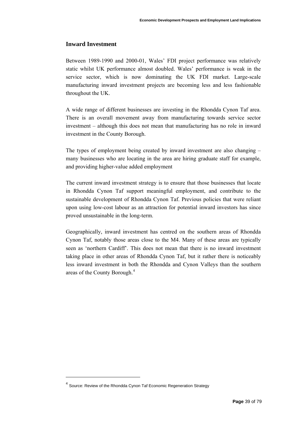## **Inward Investment**

Between 1989-1990 and 2000-01, Wales' FDI project performance was relatively static whilst UK performance almost doubled. Wales' performance is weak in the service sector, which is now dominating the UK FDI market. Large-scale manufacturing inward investment projects are becoming less and less fashionable throughout the UK.

A wide range of different businesses are investing in the Rhondda Cynon Taf area. There is an overall movement away from manufacturing towards service sector investment – although this does not mean that manufacturing has no role in inward investment in the County Borough.

The types of employment being created by inward investment are also changing – many businesses who are locating in the area are hiring graduate staff for example, and providing higher-value added employment

The current inward investment strategy is to ensure that those businesses that locate in Rhondda Cynon Taf support meaningful employment, and contribute to the sustainable development of Rhondda Cynon Taf. Previous policies that were reliant upon using low-cost labour as an attraction for potential inward investors has since proved unsustainable in the long-term.

Geographically, inward investment has centred on the southern areas of Rhondda Cynon Taf, notably those areas close to the M4. Many of these areas are typically seen as 'northern Cardiff'. This does not mean that there is no inward investment taking place in other areas of Rhondda Cynon Taf, but it rather there is noticeably less inward investment in both the Rhondda and Cynon Valleys than the southern areas of the County Borough.[4](#page-38-0)

<span id="page-38-0"></span><sup>4</sup> Source: Review of the Rhondda Cynon Taf Economic Regeneration Strategy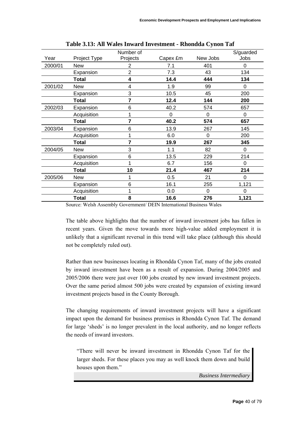|         |              | Number of      |          |          | S/guarded |
|---------|--------------|----------------|----------|----------|-----------|
| Year    | Project Type | Projects       | Capex £m | New Jobs | Jobs      |
| 2000/01 | New          | 2              | 7.1      | 401      | $\Omega$  |
|         | Expansion    | $\overline{2}$ | 7.3      | 43       | 134       |
|         | <b>Total</b> | 4              | 14.4     | 444      | 134       |
| 2001/02 | <b>New</b>   | 4              | 1.9      | 99       | $\Omega$  |
|         | Expansion    | 3              | 10.5     | 45       | 200       |
|         | <b>Total</b> | 7              | 12.4     | 144      | 200       |
| 2002/03 | Expansion    | 6              | 40.2     | 574      | 657       |
|         | Acquisition  |                | 0        | $\Omega$ | 0         |
|         | Total        | 7              | 40.2     | 574      | 657       |
| 2003/04 | Expansion    | 6              | 13.9     | 267      | 145       |
|         | Acquisition  |                | 6.0      | $\Omega$ | 200       |
|         | <b>Total</b> | 7              | 19.9     | 267      | 345       |
| 2004/05 | <b>New</b>   | 3              | 1.1      | 82       | 0         |
|         | Expansion    | 6              | 13.5     | 229      | 214       |
|         | Acquisition  |                | 6.7      | 156      | $\Omega$  |
|         | Total        | 10             | 21.4     | 467      | 214       |
| 2005/06 | <b>New</b>   | 1              | 0.5      | 21       | $\Omega$  |
|         | Expansion    | 6              | 16.1     | 255      | 1,121     |
|         | Acquisition  |                | 0.0      | 0        | 0         |
|         | <b>Total</b> | 8              | 16.6     | 276      | 1,121     |

**Table 3.13: All Wales Inward Investment - Rhondda Cynon Taf** 

Source: Welsh Assembly Government/ DEIN International Business Wales

The table above highlights that the number of inward investment jobs has fallen in recent years. Given the move towards more high-value added employment it is unlikely that a significant reversal in this trend will take place (although this should not be completely ruled out).

Rather than new businesses locating in Rhondda Cynon Taf, many of the jobs created by inward investment have been as a result of expansion. During 2004/2005 and 2005/2006 there were just over 100 jobs created by new inward investment projects. Over the same period almost 500 jobs were created by expansion of existing inward investment projects based in the County Borough.

The changing requirements of inward investment projects will have a significant impact upon the demand for business premises in Rhondda Cynon Taf. The demand for large 'sheds' is no longer prevalent in the local authority, and no longer reflects the needs of inward investors.

"There will never be inward investment in Rhondda Cynon Taf for the larger sheds. For these places you may as well knock them down and build houses upon them."

*Business Intermediary*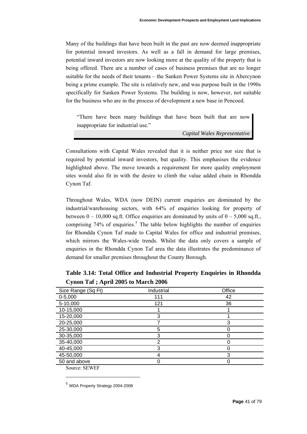Many of the buildings that have been built in the past are now deemed inappropriate for potential inward investors. As well as a fall in demand for large premises, potential inward investors are now looking more at the quality of the property that is being offered. There are a number of cases of business premises that are no longer suitable for the needs of their tenants – the Sanken Power Systems site in Abercynon being a prime example. The site is relatively new, and was purpose built in the 1990s specifically for Sanken Power Systems. The building is now, however, not suitable for the business who are in the process of development a new base in Pencoed.

"There have been many buildings that have been built that are now inappropriate for industrial use."

*Capital Wales Representative* 

Consultations with Capital Wales revealed that it is neither price nor size that is required by potential inward investors, but quality. This emphasises the evidence highlighted above. The move towards a requirement for more quality employment sites would also fit in with the desire to climb the value added chain in Rhondda Cynon Taf.

Throughout Wales, WDA (now DEIN) current enquiries are dominated by the industrial/warehousing sectors, with 64% of enquiries looking for property of between  $0 - 10,000$  sq.ft. Office enquiries are dominated by units of  $0 - 5,000$  sq.ft., comprising  $74\%$  of enquiries.<sup>[5](#page-40-0)</sup> The table below highlights the number of enquiries for Rhondda Cynon Taf made to Capital Wales for office and industrial premises, which mirrors the Wales-wide trends. Whilst the data only covers a sample of enquiries in the Rhondda Cynon Taf area the data illustrates the predominance of demand for smaller premises throughout the County Borough.

| Industrial | Office |
|------------|--------|
| 111        | 42     |
| 121        | 36     |
|            |        |
| 3          |        |
|            | 3      |
| 5          |        |
| 3          |        |
| 2          |        |
| 3          |        |
| 4          | 3      |
|            |        |
|            |        |

**Table 3.14: Total Office and Industrial Property Enquiries in Rhondda Cynon Taf ; April 2005 to March 2006** 

Source: SEWEF

<span id="page-40-0"></span><sup>5</sup> WDA Property Strategy 2004-2008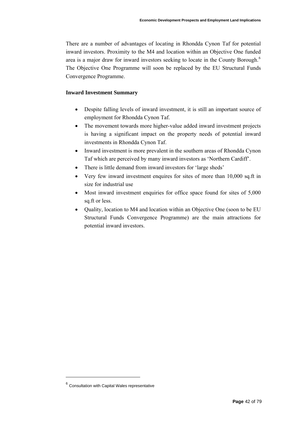There are a number of advantages of locating in Rhondda Cynon Taf for potential inward investors. Proximity to the M4 and location within an Objective One funded area is a major draw for inward investors seeking to locate in the County Borough.[6](#page-41-0) The Objective One Programme will soon be replaced by the EU Structural Funds Convergence Programme.

#### **Inward Investment Summary**

- Despite falling levels of inward investment, it is still an important source of employment for Rhondda Cynon Taf.
- The movement towards more higher-value added inward investment projects is having a significant impact on the property needs of potential inward investments in Rhondda Cynon Taf.
- Inward investment is more prevalent in the southern areas of Rhondda Cynon Taf which are perceived by many inward investors as 'Northern Cardiff'.
- There is little demand from inward investors for 'large sheds'
- Very few inward investment enquires for sites of more than 10,000 sq.ft in size for industrial use
- Most inward investment enquiries for office space found for sites of 5,000 sq.ft or less.
- Quality, location to M4 and location within an Objective One (soon to be EU Structural Funds Convergence Programme) are the main attractions for potential inward investors.

<span id="page-41-0"></span> $6$  Consultation with Capital Wales representative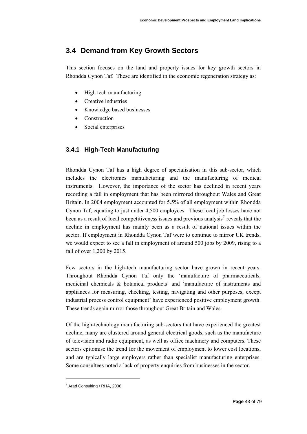# **3.4 Demand from Key Growth Sectors**

This section focuses on the land and property issues for key growth sectors in Rhondda Cynon Taf. These are identified in the economic regeneration strategy as:

- High tech manufacturing
- Creative industries
- Knowledge based businesses
- Construction
- Social enterprises

# **3.4.1 High-Tech Manufacturing**

Rhondda Cynon Taf has a high degree of specialisation in this sub-sector, which includes the electronics manufacturing and the manufacturing of medical instruments. However, the importance of the sector has declined in recent years recording a fall in employment that has been mirrored throughout Wales and Great Britain. In 2004 employment accounted for 5.5% of all employment within Rhondda Cynon Taf, equating to just under 4,500 employees. These local job losses have not been as a result of local competitiveness issues and previous analysis<sup>[7](#page-42-0)</sup> reveals that the decline in employment has mainly been as a result of national issues within the sector. If employment in Rhondda Cynon Taf were to continue to mirror UK trends, we would expect to see a fall in employment of around 500 jobs by 2009, rising to a fall of over 1,200 by 2015.

Few sectors in the high-tech manufacturing sector have grown in recent years. Throughout Rhondda Cynon Taf only the 'manufacture of pharmaceuticals, medicinal chemicals & botanical products' and 'manufacture of instruments and appliances for measuring, checking, testing, navigating and other purposes, except industrial process control equipment' have experienced positive employment growth. These trends again mirror those throughout Great Britain and Wales.

Of the high-technology manufacturing sub-sectors that have experienced the greatest decline, many are clustered around general electrical goods, such as the manufacture of television and radio equipment, as well as office machinery and computers. These sectors epitomise the trend for the movement of employment to lower cost locations, and are typically large employers rather than specialist manufacturing enterprises. Some consultees noted a lack of property enquiries from businesses in the sector.

<span id="page-42-0"></span><sup>&</sup>lt;sup>7</sup> Arad Consulting / RHA, 2006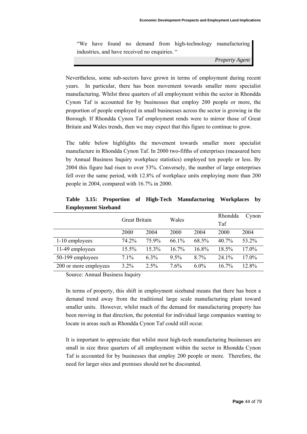"We have found no demand from high-technology manufacturing industries, and have received no enquiries. "

*Property Agent* 

Nevertheless, some sub-sectors have grown in terms of employment during recent years. In particular, there has been movement towards smaller more specialist manufacturing. Whilst three quarters of all employment within the sector in Rhondda Cynon Taf is accounted for by businesses that employ 200 people or more, the proportion of people employed in small businesses across the sector is growing in the Borough. If Rhondda Cynon Taf employment rends were to mirror those of Great Britain and Wales trends, then we may expect that this figure to continue to grow.

The table below highlights the movement towards smaller more specialist manufacture in Rhondda Cynon Taf. In 2000 two-fifths of enterprises (measured here by Annual Business Inquiry workplace statistics) employed ten people or less. By 2004 this figure had risen to over 53%. Conversely, the number of large enterprises fell over the same period, with 12.8% of workplace units employing more than 200 people in 2004, compared with 16.7% in 2000.

|                       | Great Britain |          | Wales   |         | Rhondda<br>Taf | Cynon |
|-----------------------|---------------|----------|---------|---------|----------------|-------|
|                       | 2000          | 2004     | 2000    | 2004    | 2000           | 2004  |
| 1-10 employees        | 74.2%         | 75.9%    | 66.1%   | 68.5%   | 40.7%          | 53.2% |
| 11-49 employees       | 15.5%         | $15.3\%$ | 16.7%   | 16.8%   | 18.5%          | 17.0% |
| 50-199 employees      | 7.1%          | $6.3\%$  | $9.5\%$ | 8.7%    | 24.1%          | 17.0% |
| 200 or more employees | 3.2%          | $2.5\%$  | 7.6%    | $6.0\%$ | 16.7%          | 12.8% |

**Table 3.15: Proportion of High-Tech Manufacturing Workplaces by Employment Sizeband** 

Source: Annual Business Inquiry

In terms of property, this shift in employment sizeband means that there has been a demand trend away from the traditional large scale manufacturing plant toward smaller units. However, whilst much of the demand for manufacturing property has been moving in that direction, the potential for individual large companies wanting to locate in areas such as Rhondda Cynon Taf could still occur.

It is important to appreciate that whilst most high-tech manufacturing businesses are small in size three quarters of all employment within the sector in Rhondda Cynon Taf is accounted for by businesses that employ 200 people or more. Therefore, the need for larger sites and premises should not be discounted.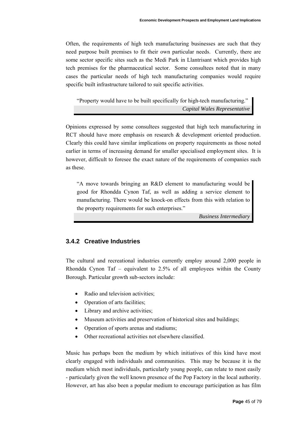Often, the requirements of high tech manufacturing businesses are such that they need purpose built premises to fit their own particular needs. Currently, there are some sector specific sites such as the Medi Park in Llantrisant which provides high tech premises for the pharmaceutical sector. Some consultees noted that in many cases the particular needs of high tech manufacturing companies would require specific built infrastructure tailored to suit specific activities.

"Property would have to be built specifically for high-tech manufacturing." *Capital Wales Representative* 

Opinions expressed by some consultees suggested that high tech manufacturing in RCT should have more emphasis on research & development oriented production. Clearly this could have similar implications on property requirements as those noted earlier in terms of increasing demand for smaller specialised employment sites. It is however, difficult to foresee the exact nature of the requirements of companies such as these.

"A move towards bringing an R&D element to manufacturing would be good for Rhondda Cynon Taf, as well as adding a service element to manufacturing. There would be knock-on effects from this with relation to the property requirements for such enterprises."

*Business Intermediary* 

## **3.4.2 Creative Industries**

The cultural and recreational industries currently employ around 2,000 people in Rhondda Cynon Taf – equivalent to 2.5% of all employees within the County Borough. Particular growth sub-sectors include:

- Radio and television activities;
- Operation of arts facilities;
- Library and archive activities;
- Museum activities and preservation of historical sites and buildings:
- Operation of sports arenas and stadiums;
- Other recreational activities not elsewhere classified.

Music has perhaps been the medium by which initiatives of this kind have most clearly engaged with individuals and communities. This may be because it is the medium which most individuals, particularly young people, can relate to most easily - particularly given the well known presence of the Pop Factory in the local authority. However, art has also been a popular medium to encourage participation as has film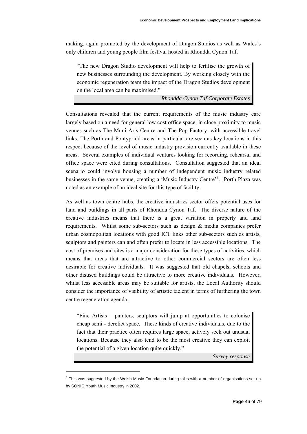making, again promoted by the development of Dragon Studios as well as Wales's only children and young people film festival hosted in Rhondda Cynon Taf.

"The new Dragon Studio development will help to fertilise the growth of new businesses surrounding the development. By working closely with the economic regeneration team the impact of the Dragon Studios development on the local area can be maximised."

*Rhondda Cynon Taf Corporate Estates* 

Consultations revealed that the current requirements of the music industry care largely based on a need for general low cost office space, in close proximity to music venues such as The Muni Arts Centre and The Pop Factory, with accessible travel links. The Porth and Pontypridd areas in particular are seen as key locations in this respect because of the level of music industry provision currently available in these areas. Several examples of individual ventures looking for recording, rehearsal and office space were cited during consultations. Consultation suggested that an ideal scenario could involve housing a number of independent music industry related businesses in the same venue, creating a 'Music Industry Centre'<sup>[8](#page-45-0)</sup>. Porth Plaza was noted as an example of an ideal site for this type of facility.

As well as town centre hubs, the creative industries sector offers potential uses for land and buildings in all parts of Rhondda Cynon Taf. The diverse nature of the creative industries means that there is a great variation in property and land requirements. Whilst some sub-sectors such as design & media companies prefer urban cosmopolitan locations with good ICT links other sub-sectors such as artists, sculptors and painters can and often prefer to locate in less accessible locations. The cost of premises and sites is a major consideration for these types of activities, which means that areas that are attractive to other commercial sectors are often less desirable for creative individuals. It was suggested that old chapels, schools and other disused buildings could be attractive to more creative individuals. However, whilst less accessible areas may be suitable for artists, the Local Authority should consider the importance of visibility of artistic taelent in terms of furthering the town centre regeneration agenda.

"Fine Artists – painters, sculptors will jump at opportunities to colonise cheap semi - derelict space. These kinds of creative individuals, due to the fact that their practice often requires large space, actively seek out unusual locations. Because they also tend to be the most creative they can exploit the potential of a given location quite quickly."

*Survey response* 

<span id="page-45-0"></span> $8$  This was suggested by the Welsh Music Foundation during talks with a number of organisations set up by SONIG Youth Music Industry in 2002.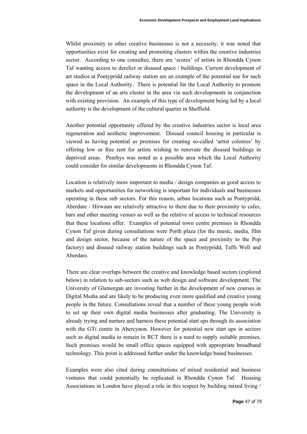Whilst proximity to other creative businesses is not a necessity, it was noted that opportunities exist for creating and promoting clusters within the creative industries sector. According to one consultee, there are 'scores' of artists in Rhondda Cynon Taf wanting access to derelict or disused space / buildings. Current development of art studios at Pontypridd railway station are an example of the potential use for such space in the Local Authority. There is potential for the Local Authority to promote the development of an arts cluster in the area via such developments in conjunction with existing provision. An example of this type of development being led by a local authority is the development of the cultural quarter in Sheffield.

Another potential opportunity offered by the creative industries sector is local area regeneration and aesthetic improvement. Disused council housing in particular is viewed as having potential as premises for creating so-called 'artist colonies' by offering low or free rent for artists wishing to renovate the disused buildings in deprived areas. Penrhys was noted as a possible area which the Local Authority could consider for similar developments in Rhondda Cynon Taf.

Location is relatively more important to media / design companies as good access to markets and opportunities for networking is important for individuals and businesses operating in these sub sectors. For this reason, urban locations such as Pontypridd, Aberdare / Hirwaun are relatively attractive to them due to their proximity to cafes, bars and other meeting venues as well as the relative of access to technical resources that these locations offer. Examples of potential town centre premises in Rhondda Cynon Taf given during consultations were Porth plaza (for the music, media, film and design sector, because of the nature of the space and proximity to the Pop factory) and disused railway station buildings such as Pontypridd, Taffs Well and Aberdare.

There are clear overlaps between the creative and knowledge based sectors (explored below) in relation to sub-sectors such as web design and software development. The University of Glamorgan are investing further in the development of new courses in Digital Media and are likely to be producing even more qualified and creative young people in the future. Consultations reveal that a number of these young people wish to set up their own digital media businesses after graduating. The University is already trying and nurture and harness these potential start ups through its association with the GTi centre in Abercynon. However for potential new start ups in sectors such as digital media to remain in RCT there is a need to supply suitable premises. Such premises would be small office spaces equipped with appropriate broadband technology. This point is addressed further under the knowledge based businesses.

Examples were also cited during consultations of mixed residential and business ventures that could potentially be replicated in Rhondda Cynon Taf. Housing Associations in London have played a role in this respect by building mixed living /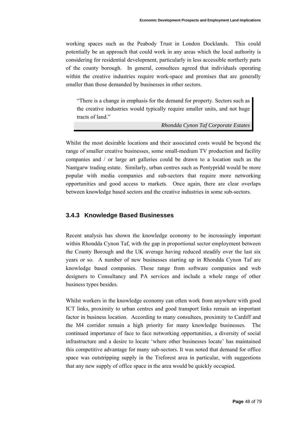working spaces such as the Peabody Trust in London Docklands. This could potentially be an approach that could work in any areas which the local authority is considering for residential development, particularly in less accessible northerly parts of the county borough. In general, consultees agreed that individuals operating within the creative industries require work-space and premises that are generally smaller than those demanded by businesses in other sectors.

"There is a change in emphasis for the demand for property. Sectors such as the creative industries would typically require smaller units, and not huge tracts of land."

*Rhondda Cynon Taf Corporate Estates* 

Whilst the most desirable locations and their associated costs would be beyond the range of smaller creative businesses, some small-medium TV production and facility companies and / or large art galleries could be drawn to a location such as the Nantgarw trading estate. Similarly, urban centres such as Pontypridd would be more popular with media companies and sub-sectors that require more networking opportunities and good access to markets. Once again, there are clear overlaps between knowledge based sectors and the creative industries in some sub-sectors.

#### **3.4.3 Knowledge Based Businesses**

Recent analysis has shown the knowledge economy to be increasingly important within Rhondda Cynon Taf, with the gap in proportional sector employment between the County Borough and the UK average having reduced steadily over the last six years or so. A number of new businesses starting up in Rhondda Cynon Taf are knowledge based companies. These range from software companies and web designers to Consultancy and PA services and include a whole range of other business types besides.

Whilst workers in the knowledge economy can often work from anywhere with good ICT links, proximity to urban centres and good transport links remain an important factor in business location. According to many consultees, proximity to Cardiff and the M4 corridor remain a high priority for many knowledge businesses. The continued importance of face to face networking opportunities, a diversity of social infrastructure and a desire to locate 'where other businesses locate' has maintained this competitive advantage for many sub-sectors. It was noted that demand for office space was outstripping supply in the Treforest area in particular, with suggestions that any new supply of office space in the area would be quickly occupied.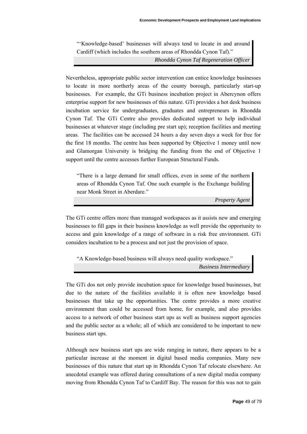"'Knowledge-based' businesses will always tend to locate in and around Cardiff (which includes the southern areas of Rhondda Cynon Taf)."

*Rhondda Cynon Taf Regeneration Officer* 

Nevertheless, appropriate public sector intervention can entice knowledge businesses to locate in more northerly areas of the county borough, particularly start-up businesses. For example, the GTi business incubation project in Abercynon offers enterprise support for new businesses of this nature. GTi provides a hot desk business incubation service for undergraduates, graduates and entrepreneurs in Rhondda Cynon Taf. The GTi Centre also provides dedicated support to help individual businesses at whatever stage (including pre start up); reception facilities and meeting areas. The facilities can be accessed 24 hours a day seven days a week for free for the first 18 months. The centre has been supported by Objective 1 money until now and Glamorgan University is bridging the funding from the end of Objective 1 support until the centre accesses further European Structural Funds.

"There is a large demand for small offices, even in some of the northern areas of Rhondda Cynon Taf. One such example is the Exchange building near Monk Street in Aberdare."

*Property Agent* 

The GTi centre offers more than managed workspaces as it assists new and emerging businesses to fill gaps in their business knowledge as well provide the opportunity to access and gain knowledge of a range of software in a risk free environment. GTi considers incubation to be a process and not just the provision of space.

"A Knowledge-based business will always need quality workspace." *Business Intermediary* 

The GTi dos not only provide incubation space for knowledge based businesses, but due to the nature of the facilities available it is often new knowledge based businesses that take up the opportunities. The centre provides a more creative environment than could be accessed from home, for example, and also provides access to a network of other business start ups as well as business support agencies and the public sector as a whole; all of which are considered to be important to new business start ups.

Although new business start ups are wide ranging in nature, there appears to be a particular increase at the moment in digital based media companies. Many new businesses of this nature that start up in Rhondda Cynon Taf relocate elsewhere. An anecdotal example was offered during consultations of a new digital media company moving from Rhondda Cynon Taf to Cardiff Bay. The reason for this was not to gain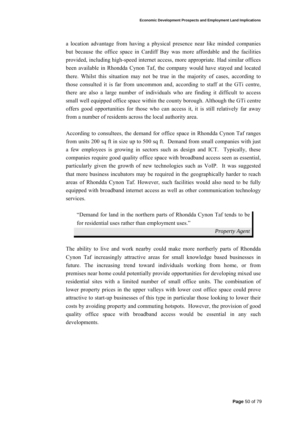a location advantage from having a physical presence near like minded companies but because the office space in Cardiff Bay was more affordable and the facilities provided, including high-speed internet access, more appropriate. Had similar offices been available in Rhondda Cynon Taf, the company would have stayed and located there. Whilst this situation may not be true in the majority of cases, according to those consulted it is far from uncommon and, according to staff at the GTi centre, there are also a large number of individuals who are finding it difficult to access small well equipped office space within the county borough. Although the GTi centre offers good opportunities for those who can access it, it is still relatively far away from a number of residents across the local authority area.

According to consultees, the demand for office space in Rhondda Cynon Taf ranges from units 200 sq ft in size up to 500 sq ft. Demand from small companies with just a few employees is growing in sectors such as design and ICT. Typically, these companies require good quality office space with broadband access seen as essential, particularly given the growth of new technologies such as VoIP. It was suggested that more business incubators may be required in the geographically harder to reach areas of Rhondda Cynon Taf. However, such facilities would also need to be fully equipped with broadband internet access as well as other communication technology services.

"Demand for land in the northern parts of Rhondda Cynon Taf tends to be for residential uses rather than employment uses."

*Property Agent* 

The ability to live and work nearby could make more northerly parts of Rhondda Cynon Taf increasingly attractive areas for small knowledge based businesses in future. The increasing trend toward individuals working from home, or from premises near home could potentially provide opportunities for developing mixed use residential sites with a limited number of small office units. The combination of lower property prices in the upper valleys with lower cost office space could prove attractive to start-up businesses of this type in particular those looking to lower their costs by avoiding property and commuting hotspots. However, the provision of good quality office space with broadband access would be essential in any such developments.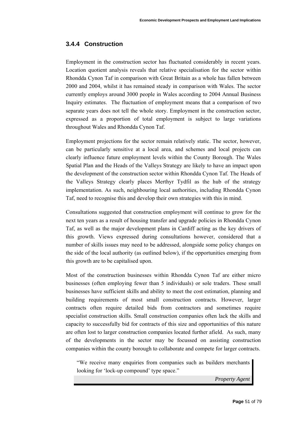## **3.4.4 Construction**

Employment in the construction sector has fluctuated considerably in recent years. Location quotient analysis reveals that relative specialisation for the sector within Rhondda Cynon Taf in comparison with Great Britain as a whole has fallen between 2000 and 2004, whilst it has remained steady in comparison with Wales. The sector currently employs around 3000 people in Wales according to 2004 Annual Business Inquiry estimates. The fluctuation of employment means that a comparison of two separate years does not tell the whole story. Employment in the construction sector, expressed as a proportion of total employment is subject to large variations throughout Wales and Rhondda Cynon Taf.

Employment projections for the sector remain relatively static. The sector, however, can be particularly sensitive at a local area, and schemes and local projects can clearly influence future employment levels within the County Borough. The Wales Spatial Plan and the Heads of the Valleys Strategy are likely to have an impact upon the development of the construction sector within Rhondda Cynon Taf. The Heads of the Valleys Strategy clearly places Merthyr Tydfil as the hub of the strategy implementation. As such, neighbouring local authorities, including Rhondda Cynon Taf, need to recognise this and develop their own strategies with this in mind.

Consultations suggested that construction employment will continue to grow for the next ten years as a result of housing transfer and upgrade policies in Rhondda Cynon Taf, as well as the major development plans in Cardiff acting as the key drivers of this growth. Views expressed during consultations however, considered that a number of skills issues may need to be addressed, alongside some policy changes on the side of the local authority (as outlined below), if the opportunities emerging from this growth are to be capitalised upon.

Most of the construction businesses within Rhondda Cynon Taf are either micro businesses (often employing fewer than 5 individuals) or sole traders. These small businesses have sufficient skills and ability to meet the cost estimation, planning and building requirements of most small construction contracts. However, larger contracts often require detailed bids from contractors and sometimes require specialist construction skills. Small construction companies often lack the skills and capacity to successfully bid for contracts of this size and opportunities of this nature are often lost to larger construction companies located further afield. As such, many of the developments in the sector may be focussed on assisting construction companies within the county borough to collaborate and compete for larger contracts.

"We receive many enquiries from companies such as builders merchants looking for 'lock-up compound' type space."

*Property Agent*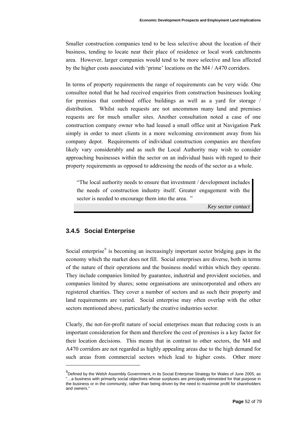Smaller construction companies tend to be less selective about the location of their business, tending to locate near their place of residence or local work catchments area. However, larger companies would tend to be more selective and less affected by the higher costs associated with 'prime' locations on the M4 / A470 corridors.

In terms of property requirements the range of requirements can be very wide. One consultee noted that he had received enquiries from construction businesses looking for premises that combined office buildings as well as a yard for storage / distribution. Whilst such requests are not uncommon many land and premises requests are for much smaller sites. Another consultation noted a case of one construction company owner who had leased a small office unit at Navigation Park simply in order to meet clients in a more welcoming environment away from his company depot. Requirements of individual construction companies are therefore likely vary considerably and as such the Local Authority may wish to consider approaching businesses within the sector on an individual basis with regard to their property requirements as opposed to addressing the needs of the sector as a whole.

"The local authority needs to ensure that investment / development includes the needs of construction industry itself. Greater engagement with the sector is needed to encourage them into the area. "

*Key sector contact* 

#### **3.4.5 Social Enterprise**

l

Social enterprise<sup>[9](#page-51-0)</sup> is becoming an increasingly important sector bridging gaps in the economy which the market does not fill. Social enterprises are diverse, both in terms of the nature of their operations and the business model within which they operate. They include companies limited by guarantee, industrial and provident societies, and companies limited by shares; some organisations are unincorporated and others are registered charities. They cover a number of sectors and as such their property and land requirements are varied. Social enterprise may often overlap with the other sectors mentioned above, particularly the creative industries sector.

Clearly, the not-for-profit nature of social enterprises mean that reducing costs is an important consideration for them and therefore the cost of premises is a key factor for their location decisions. This means that in contrast to other sectors, the M4 and A470 corridors are not regarded as highly appealing areas due to the high demand for such areas from commercial sectors which lead to higher costs. Other more

<span id="page-51-0"></span> $^{9}$ Defined by the Welsh Assembly Government, in its Social Enterprise Strategy for Wales of June 2005, as "…a business with primarily social objectives whose surpluses are principally reinvested for that purpose in the business or in the community, rather than being driven by the need to maximise profit for shareholders and owners."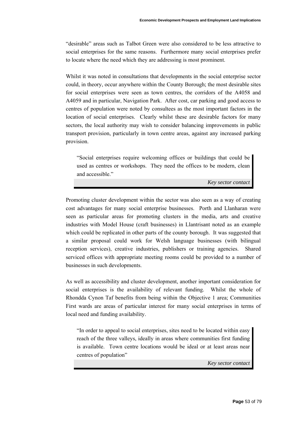"desirable" areas such as Talbot Green were also considered to be less attractive to social enterprises for the same reasons. Furthermore many social enterprises prefer to locate where the need which they are addressing is most prominent.

Whilst it was noted in consultations that developments in the social enterprise sector could, in theory, occur anywhere within the County Borough; the most desirable sites for social enterprises were seen as town centres, the corridors of the A4058 and A4059 and in particular, Navigation Park. After cost, car parking and good access to centres of population were noted by consultees as the most important factors in the location of social enterprises. Clearly whilst these are desirable factors for many sectors, the local authority may wish to consider balancing improvements in public transport provision, particularly in town centre areas, against any increased parking provision.

"Social enterprises require welcoming offices or buildings that could be used as centres or workshops. They need the offices to be modern, clean and accessible."

*Key sector contact* 

Promoting cluster development within the sector was also seen as a way of creating cost advantages for many social enterprise businesses. Porth and Llanharan were seen as particular areas for promoting clusters in the media, arts and creative industries with Model House (craft businesses) in Llantrisant noted as an example which could be replicated in other parts of the county borough. It was suggested that a similar proposal could work for Welsh language businesses (with bilingual reception services), creative industries, publishers or training agencies. Shared serviced offices with appropriate meeting rooms could be provided to a number of businesses in such developments.

As well as accessibility and cluster development, another important consideration for social enterprises is the availability of relevant funding. Whilst the whole of Rhondda Cynon Taf benefits from being within the Objective 1 area; Communities First wards are areas of particular interest for many social enterprises in terms of local need and funding availability.

"In order to appeal to social enterprises, sites need to be located within easy reach of the three valleys, ideally in areas where communities first funding is available. Town centre locations would be ideal or at least areas near centres of population"

*Key sector contact*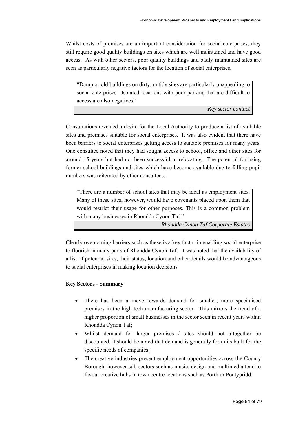Whilst costs of premises are an important consideration for social enterprises, they still require good quality buildings on sites which are well maintained and have good access. As with other sectors, poor quality buildings and badly maintained sites are seen as particularly negative factors for the location of social enterprises.

"Damp or old buildings on dirty, untidy sites are particularly unappealing to social enterprises. Isolated locations with poor parking that are difficult to access are also negatives"

*Key sector contact* 

Consultations revealed a desire for the Local Authority to produce a list of available sites and premises suitable for social enterprises. It was also evident that there have been barriers to social enterprises getting access to suitable premises for many years. One consultee noted that they had sought access to school, office and other sites for around 15 years but had not been successful in relocating. The potential for using former school buildings and sites which have become available due to falling pupil numbers was reiterated by other consultees.

"There are a number of school sites that may be ideal as employment sites. Many of these sites, however, would have covenants placed upon them that would restrict their usage for other purposes. This is a common problem with many businesses in Rhondda Cynon Taf."

*Rhondda Cynon Taf Corporate Estates* 

Clearly overcoming barriers such as these is a key factor in enabling social enterprise to flourish in many parts of Rhondda Cynon Taf. It was noted that the availability of a list of potential sites, their status, location and other details would be advantageous to social enterprises in making location decisions.

#### **Key Sectors - Summary**

- There has been a move towards demand for smaller, more specialised premises in the high tech manufacturing sector. This mirrors the trend of a higher proportion of small businesses in the sector seen in recent years within Rhondda Cynon Taf;
- Whilst demand for larger premises / sites should not altogether be discounted, it should be noted that demand is generally for units built for the specific needs of companies;
- The creative industries present employment opportunities across the County Borough, however sub-sectors such as music, design and multimedia tend to favour creative hubs in town centre locations such as Porth or Pontypridd;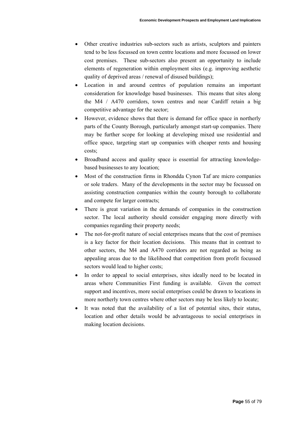- Other creative industries sub-sectors such as artists, sculptors and painters tend to be less focussed on town centre locations and more focussed on lower cost premises. These sub-sectors also present an opportunity to include elements of regeneration within employment sites (e.g. improving aesthetic quality of deprived areas / renewal of disused buildings);
- Location in and around centres of population remains an important consideration for knowledge based businesses. This means that sites along the M4 / A470 corridors, town centres and near Cardiff retain a big competitive advantage for the sector;
- However, evidence shows that there is demand for office space in northerly parts of the County Borough, particularly amongst start-up companies. There may be further scope for looking at developing mixed use residential and office space, targeting start up companies with cheaper rents and housing costs;
- Broadband access and quality space is essential for attracting knowledgebased businesses to any location;
- Most of the construction firms in Rhondda Cynon Taf are micro companies or sole traders. Many of the developments in the sector may be focussed on assisting construction companies within the county borough to collaborate and compete for larger contracts;
- There is great variation in the demands of companies in the construction sector. The local authority should consider engaging more directly with companies regarding their property needs;
- The not-for-profit nature of social enterprises means that the cost of premises is a key factor for their location decisions. This means that in contrast to other sectors, the M4 and A470 corridors are not regarded as being as appealing areas due to the likelihood that competition from profit focussed sectors would lead to higher costs;
- In order to appeal to social enterprises, sites ideally need to be located in areas where Communities First funding is available. Given the correct support and incentives, more social enterprises could be drawn to locations in more northerly town centres where other sectors may be less likely to locate;
- It was noted that the availability of a list of potential sites, their status, location and other details would be advantageous to social enterprises in making location decisions.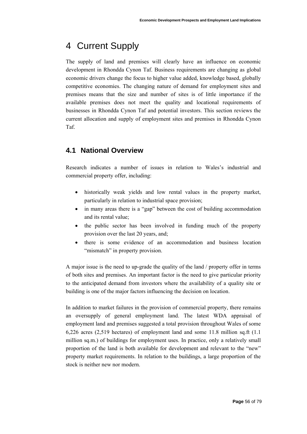# 4 Current Supply

The supply of land and premises will clearly have an influence on economic development in Rhondda Cynon Taf. Business requirements are changing as global economic drivers change the focus to higher value added, knowledge based, globally competitive economies. The changing nature of demand for employment sites and premises means that the size and number of sites is of little importance if the available premises does not meet the quality and locational requirements of businesses in Rhondda Cynon Taf and potential investors. This section reviews the current allocation and supply of employment sites and premises in Rhondda Cynon Taf.

# **4.1 National Overview**

Research indicates a number of issues in relation to Wales's industrial and commercial property offer, including:

- historically weak yields and low rental values in the property market, particularly in relation to industrial space provision;
- in many areas there is a "gap" between the cost of building accommodation and its rental value;
- the public sector has been involved in funding much of the property provision over the last 20 years, and;
- there is some evidence of an accommodation and business location "mismatch" in property provision.

A major issue is the need to up-grade the quality of the land / property offer in terms of both sites and premises. An important factor is the need to give particular priority to the anticipated demand from investors where the availability of a quality site or building is one of the major factors influencing the decision on location.

In addition to market failures in the provision of commercial property, there remains an oversupply of general employment land. The latest WDA appraisal of employment land and premises suggested a total provision throughout Wales of some 6,226 acres (2,519 hectares) of employment land and some 11.8 million sq.ft (1.1 million sq.m.) of buildings for employment uses. In practice, only a relatively small proportion of the land is both available for development and relevant to the "new" property market requirements. In relation to the buildings, a large proportion of the stock is neither new nor modern.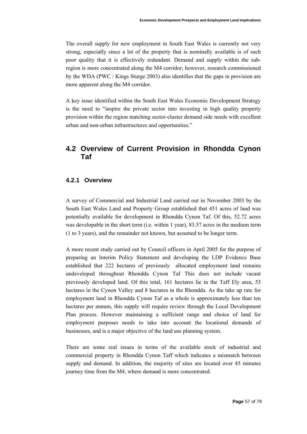The overall supply for new employment in South East Wales is currently not very strong, especially since a lot of the property that is nominally available is of such poor quality that it is effectively redundant. Demand and supply within the subregion is more concentrated along the M4 corridor; however, research commissioned by the WDA (PWC / Kings Sturge 2003) also identifies that the gaps in provision are more apparent along the M4 corridor.

A key issue identified within the South East Wales Economic Development Strategy is the need to "inspire the private sector into investing in high quality property provision within the region matching sector-cluster demand side needs with excellent urban and non-urban infrastructures and opportunities."

# **4.2 Overview of Current Provision in Rhondda Cynon Taf**

## **4.2.1 Overview**

A survey of Commercial and Industrial Land carried out in November 2003 by the South East Wales Land and Property Group established that 451 acres of land was potentially available for development in Rhondda Cynon Taf. Of this, 52.72 acres was developable in the short term (i.e. within 1 year), 83.57 acres in the medium term (1 to 3 years), and the remainder not known, but assumed to be longer term.

A more recent study carried out by Council officers in April 2005 for the purpose of preparing an Interim Policy Statement and developing the LDP Evidence Base established that 222 hectares of previously allocated employment land remains undeveloped throughout Rhondda Cynon Taf This does not include vacant previously developed land. Of this total, 161 hectares lie in the Taff Ely area, 53 hectares in the Cynon Valley and 8 hectares in the Rhondda. As the take up rate for employment land in Rhondda Cynon Taf as a whole is approximately less than ten hectares per annum, this supply will require review through the Local Development Plan process. However maintaining a sufficient range and choice of land for employment purposes needs to take into account the locational demands of businesses, and is a major objective of the land use planning system.

There are some real issues in terms of the available stock of industrial and commercial property in Rhondda Cynon Taff which indicates a mismatch between supply and demand. In addition, the majority of sites are located over 45 minutes journey time from the M4, where demand is more concentrated.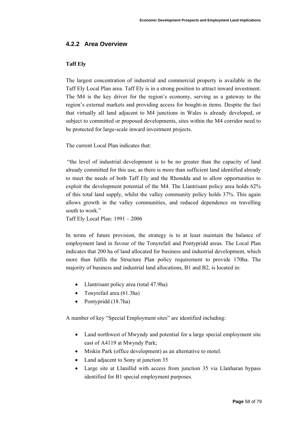# **4.2.2 Area Overview**

#### **Taff Ely**

The largest concentration of industrial and commercial property is available in the Taff Ely Local Plan area. Taff Ely is in a strong position to attract inward investment. The M4 is the key driver for the region's economy, serving as a gateway to the region's external markets and providing access for bought-in items. Despite the fact that virtually all land adjacent to M4 junctions in Wales is already developed, or subject to committed or proposed developments, sites within the M4 corridor need to be protected for large-scale inward investment projects.

The current Local Plan indicates that:

 "the level of industrial development is to be no greater than the capacity of land already committed for this use, as there is more than sufficient land identified already to meet the needs of both Taff Ely and the Rhondda and to allow opportunities to exploit the development potential of the M4. The Llantrisant policy area holds 62% of this total land supply, whilst the valley community policy holds 37%. This again allows growth in the valley communities, and reduced dependence on travelling south to work."

Taff Ely Local Plan: 1991 – 2006

In terms of future provision, the strategy is to at least maintain the balance of employment land in favour of the Tonyrefail and Pontypridd areas. The Local Plan indicates that 200 ha of land allocated for business and industrial development, which more than fulfils the Structure Plan policy requirement to provide 170ha. The majority of business and industrial land allocations, B1 and B2, is located in:

- Llantrisant policy area (total 47.9ha)
- Tonyrefail area (61.3ha)
- Pontypridd (18.7ha)

A number of key "Special Employment sites" are identified including:

- Land northwest of Mwyndy and potential for a large special employment site east of A4119 at Mwyndy Park;
- Miskin Park (office development) as an alternative to motel.
- Land adjacent to Sony at junction 35
- Large site at Llanillid with access from junction 35 via Llanharan bypass identified for B1 special employment purposes.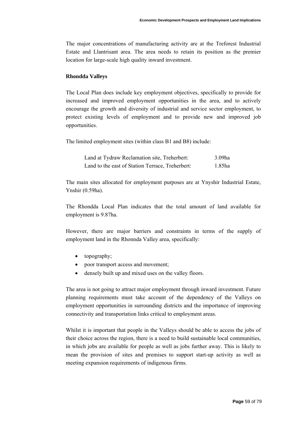The major concentrations of manufacturing activity are at the Treforest Industrial Estate and Llantrisant area. The area needs to retain its position as the premier location for large-scale high quality inward investment.

#### **Rhondda Valleys**

The Local Plan does include key employment objectives, specifically to provide for increased and improved employment opportunities in the area, and to actively encourage the growth and diversity of industrial and service sector employment, to protect existing levels of employment and to provide new and improved job opportunities.

The limited employment sites (within class B1 and B8) include:

| Land at Tydraw Reclamation site, Treherbert:     | $3.09$ ha |
|--------------------------------------------------|-----------|
| Land to the east of Station Terrace, Treherbert: | 1.85ha    |

The main sites allocated for employment purposes are at Ynyshir Industrial Estate, Ynshir (0.59ha).

The Rhondda Local Plan indicates that the total amount of land available for employment is 9.87ha.

However, there are major barriers and constraints in terms of the supply of employment land in the Rhonnda Valley area, specifically:

- topography;
- poor transport access and movement:
- densely built up and mixed uses on the valley floors.

The area is not going to attract major employment through inward investment. Future planning requirements must take account of the dependency of the Valleys on employment opportunities in surrounding districts and the importance of improving connectivity and transportation links critical to employment areas.

Whilst it is important that people in the Valleys should be able to access the jobs of their choice across the region, there is a need to build sustainable local communities, in which jobs are available for people as well as jobs further away. This is likely to mean the provision of sites and premises to support start-up activity as well as meeting expansion requirements of indigenous firms.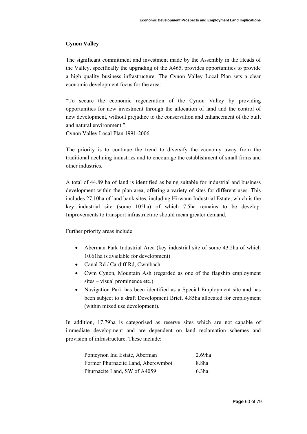# **Cynon Valley**

The significant commitment and investment made by the Assembly in the Heads of the Valley, specifically the upgrading of the A465, provides opportunities to provide a high quality business infrastructure. The Cynon Valley Local Plan sets a clear economic development focus for the area:

"To secure the economic regeneration of the Cynon Valley by providing opportunities for new investment through the allocation of land and the control of new development, without prejudice to the conservation and enhancement of the built and natural environment."

Cynon Valley Local Plan 1991-2006

The priority is to continue the trend to diversify the economy away from the traditional declining industries and to encourage the establishment of small firms and other industries.

A total of 44.89 ha of land is identified as being suitable for industrial and business development within the plan area, offering a variety of sites for different uses. This includes 27.10ha of land bank sites, including Hirwaun Industrial Estate, which is the key industrial site (some 105ha) of which 7.5ha remains to be develop. Improvements to transport infrastructure should mean greater demand.

Further priority areas include:

- Aberman Park Industrial Area (key industrial site of some 43.2ha of which 10.61ha is available for development)
- Canal Rd / Cardiff Rd, Cwmbach
- Cwm Cynon, Mountain Ash (regarded as one of the flagship employment sites – visual prominence etc.)
- Navigation Park has been identified as a Special Employment site and has been subject to a draft Development Brief. 4.85ha allocated for employment (within mixed use development).

In addition, 17.79ha is categorised as reserve sites which are not capable of immediate development and are dependent on land reclamation schemes and provision of infrastructure. These include:

| Pontcynon Ind Estate, Aberman      | $2.69$ ha         |
|------------------------------------|-------------------|
| Former Phurnacite Land, Abercwmboi | 8.8ha             |
| Phurnacite Land, SW of A4059       | 6.3 <sub>ha</sub> |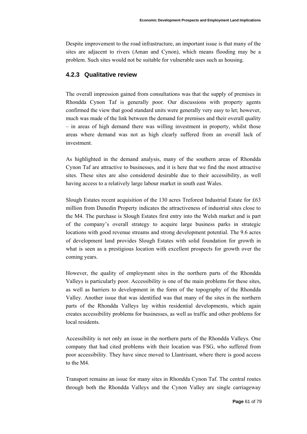Despite improvement to the road infrastructure, an important issue is that many of the sites are adjacent to rivers (Aman and Cynon), which means flooding may be a problem. Such sites would not be suitable for vulnerable uses such as housing.

# **4.2.3 Qualitative review**

The overall impression gained from consultations was that the supply of premises in Rhondda Cynon Taf is generally poor. Our discussions with property agents confirmed the view that good standard units were generally very easy to let; however, much was made of the link between the demand for premises and their overall quality – in areas of high demand there was willing investment in property, whilst those areas where demand was not as high clearly suffered from an overall lack of investment.

As highlighted in the demand analysis, many of the southern areas of Rhondda Cynon Taf are attractive to businesses, and it is here that we find the most attractive sites. These sites are also considered desirable due to their accessibility, as well having access to a relatively large labour market in south east Wales.

Slough Estates recent acquisition of the 130 acres Treforest Industrial Estate for £63 million from Dunedin Property indicates the attractiveness of industrial sites close to the M4. The purchase is Slough Estates first entry into the Welsh market and is part of the company's overall strategy to acquire large business parks in strategic locations with good revenue streams and strong development potential. The 9.6 acres of development land provides Slough Estates with solid foundation for growth in what is seen as a prestigious location with excellent prospects for growth over the coming years.

However, the quality of employment sites in the northern parts of the Rhondda Valleys is particularly poor. Accessibility is one of the main problems for these sites, as well as barriers to development in the form of the topography of the Rhondda Valley. Another issue that was identified was that many of the sites in the northern parts of the Rhondda Valleys lay within residential developments, which again creates accessibility problems for businesses, as well as traffic and other problems for local residents.

Accessibility is not only an issue in the northern parts of the Rhondda Valleys. One company that had cited problems with their location was FSG, who suffered from poor accessibility. They have since moved to Llantrisant, where there is good access to the M4.

Transport remains an issue for many sites in Rhondda Cynon Taf. The central routes through both the Rhondda Valleys and the Cynon Valley are single carriageway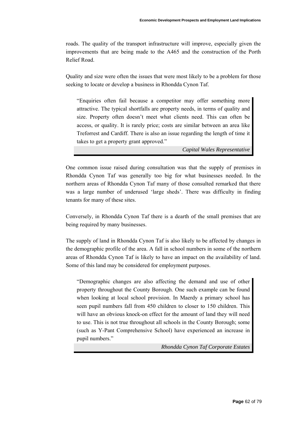roads. The quality of the transport infrastructure will improve, especially given the improvements that are being made to the A465 and the construction of the Porth Relief Road.

Quality and size were often the issues that were most likely to be a problem for those seeking to locate or develop a business in Rhondda Cynon Taf.

"Enquiries often fail because a competitor may offer something more attractive. The typical shortfalls are property needs, in terms of quality and size. Property often doesn't meet what clients need. This can often be access, or quality. It is rarely price; costs are similar between an area like Treforrest and Cardiff. There is also an issue regarding the length of time it takes to get a property grant approved."

*Capital Wales Representative* 

One common issue raised during consultation was that the supply of premises in Rhondda Cynon Taf was generally too big for what businesses needed. In the northern areas of Rhondda Cynon Taf many of those consulted remarked that there was a large number of underused 'large sheds'. There was difficulty in finding tenants for many of these sites.

Conversely, in Rhondda Cynon Taf there is a dearth of the small premises that are being required by many businesses.

The supply of land in Rhondda Cynon Taf is also likely to be affected by changes in the demographic profile of the area. A fall in school numbers in some of the northern areas of Rhondda Cynon Taf is likely to have an impact on the availability of land. Some of this land may be considered for employment purposes.

"Demographic changes are also affecting the demand and use of other property throughout the County Borough. One such example can be found when looking at local school provision. In Maerdy a primary school has seen pupil numbers fall from 450 children to closer to 150 children. This will have an obvious knock-on effect for the amount of land they will need to use. This is not true throughout all schools in the County Borough; some (such as Y-Pant Comprehensive School) have experienced an increase in pupil numbers."

*Rhondda Cynon Taf Corporate Estates*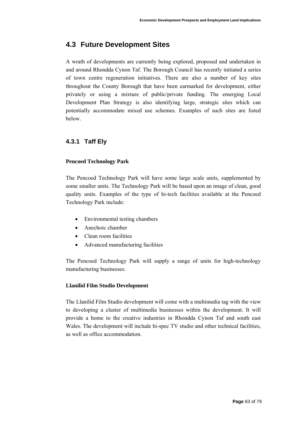# **4.3 Future Development Sites**

A wrath of developments are currently being explored, proposed and undertaken in and around Rhondda Cynon Taf. The Borough Council has recently initiated a series of town centre regeneration initiatives. There are also a number of key sites throughout the County Borough that have been earmarked for development, either privately or using a mixture of public/private funding. The emerging Local Development Plan Strategy is also identifying large, strategic sites which can potentially accommodate mixed use schemes. Examples of such sites are listed below.

# **4.3.1 Taff Ely**

# **Pencoed Technology Park**

The Pencoed Technology Park will have some large scale units, supplemented by some smaller units. The Technology Park will be based upon an image of clean, good quality units. Examples of the type of hi-tech facilities available at the Pencoed Technology Park include:

- Environmental testing chambers
- Anechoic chamber
- Clean room facilities
- Advanced manufacturing facilities

The Pencoed Technology Park will supply a range of units for high-technology manufacturing businesses.

## **Llanilid Film Studio Development**

The Llanilid Film Studio development will come with a multimedia tag with the view to developing a cluster of multimedia businesses within the development. It will provide a home to the creative industries in Rhondda Cynon Taf and south east Wales. The development will include hi-spec TV studio and other technical facilities, as well as office accommodation.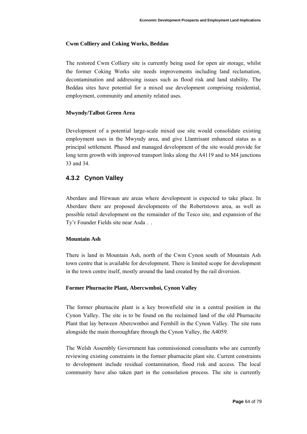#### **Cwm Colliery and Coking Works, Beddau**

The restored Cwm Colliery site is currently being used for open air storage, whilst the former Coking Works site needs improvements including land reclamation, decontamination and addressing issues such as flood risk and land stability. The Beddau sites have potential for a mixed use development comprising residential, employment, community and amenity related uses.

#### **Mwyndy/Talbot Green Area**

Development of a potential large-scale mixed use site would consolidate existing employment uses in the Mwyndy area, and give Llantrisant enhanced status as a principal settlement. Phased and managed development of the site would provide for long term growth with improved transport links along the A4119 and to M4 junctions 33 and 34.

# **4.3.2 Cynon Valley**

Aberdare and Hirwaun are areas where development is expected to take place. In Aberdare there are proposed developments of the Robertstown area, as well as possible retail development on the remainder of the Tesco site, and expansion of the Ty'r Founder Fields site near Asda . .

#### **Mountain Ash**

There is land in Mountain Ash, north of the Cwm Cynon south of Mountain Ash town centre that is available for development. There is limited scope for development in the town centre itself, mostly around the land created by the rail diversion.

#### **Former Phurnacite Plant, Abercwmboi, Cynon Valley**

The former phurnacite plant is a key brownfield site in a central position in the Cynon Valley. The site is to be found on the reclaimed land of the old Phurnacite Plant that lay between Abercwmboi and Fernhill in the Cynon Valley. The site runs alongside the main thoroughfare through the Cynon Valley, the A4059.

The Welsh Assembly Government has commissioned consultants who are currently reviewing existing constraints in the former phurnacite plant site. Current constraints to development include residual contamination, flood risk and access. The local community have also taken part in the consolation process. The site is currently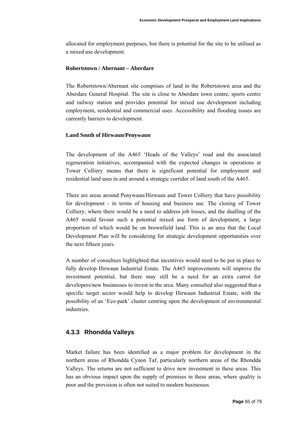allocated for employment purposes, but there is potential for the site to be utilised as a mixed use development.

#### **Robertstown / Abernant – Aberdare**

The Robertstown/Abernant site comprises of land in the Robertstown area and the Aberdare General Hospital. The site is close to Aberdare town centre, sports centre and railway station and provides potential for mixed use development including employment, residential and commercial uses. Accessibility and flooding issues are currently barriers to development.

#### **Land South of Hirwaun/Penywaun**

The development of the A465 'Heads of the Valleys' road and the associated regeneration initiatives, accompanied with the expected changes in operations at Tower Colliery means that there is significant potential for employment and residential land uses in and around a strategic corridor of land south of the A465.

There are areas around Penywaun/Hirwaun and Tower Colliery that have possibility for development - in terms of housing and business use. The closing of Tower Colliery, where there would be a need to address job losses, and the dualling of the A465 would favour such a potential mixed use form of development, a large proportion of which would be on brownfield land. This is an area that the Local Development Plan will be considering for strategic development opportunities over the next fifteen years.

A number of consultees highlighted that incentives would need to be put in place to fully develop Hirwaun Industrial Estate. The A465 improvements will improve the investment potential, but there may still be a need for an extra carrot for developers/new businesses to invest in the area. Many consulted also suggested that a specific target sector would help to develop Hirwaun Industrial Estate, with the possibility of an 'Eco-park' cluster centring upon the development of environmental industries.

#### **4.3.3 Rhondda Valleys**

Market failure has been identified as a major problem for development in the northern areas of Rhondda Cynon Taf, particularly northern areas of the Rhondda Valleys. The returns are not sufficient to drive new investment in these areas. This has an obvious impact upon the supply of premises in these areas, where quality is poor and the provision is often not suited to modern businesses.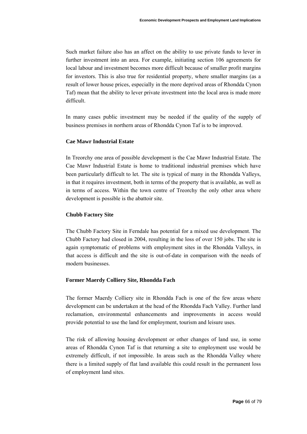Such market failure also has an affect on the ability to use private funds to lever in further investment into an area. For example, initiating section 106 agreements for local labour and investment becomes more difficult because of smaller profit margins for investors. This is also true for residential property, where smaller margins (as a result of lower house prices, especially in the more deprived areas of Rhondda Cynon Taf) mean that the ability to lever private investment into the local area is made more difficult.

In many cases public investment may be needed if the quality of the supply of business premises in northern areas of Rhondda Cynon Taf is to be improved.

#### **Cae Mawr Industrial Estate**

In Treorchy one area of possible development is the Cae Mawr Industrial Estate. The Cae Mawr Industrial Estate is home to traditional industrial premises which have been particularly difficult to let. The site is typical of many in the Rhondda Valleys, in that it requires investment, both in terms of the property that is available, as well as in terms of access. Within the town centre of Treorchy the only other area where development is possible is the abattoir site.

#### **Chubb Factory Site**

The Chubb Factory Site in Ferndale has potential for a mixed use development. The Chubb Factory had closed in 2004, resulting in the loss of over 150 jobs. The site is again symptomatic of problems with employment sites in the Rhondda Valleys, in that access is difficult and the site is out-of-date in comparison with the needs of modern businesses.

#### **Former Maerdy Colliery Site, Rhondda Fach**

The former Maerdy Colliery site in Rhondda Fach is one of the few areas where development can be undertaken at the head of the Rhondda Fach Valley. Further land reclamation, environmental enhancements and improvements in access would provide potential to use the land for employment, tourism and leisure uses.

The risk of allowing housing development or other changes of land use, in some areas of Rhondda Cynon Taf is that returning a site to employment use would be extremely difficult, if not impossible. In areas such as the Rhondda Valley where there is a limited supply of flat land available this could result in the permanent loss of employment land sites.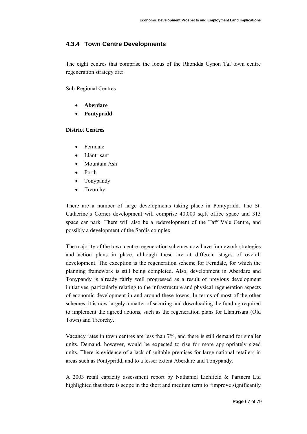# **4.3.4 Town Centre Developments**

The eight centres that comprise the focus of the Rhondda Cynon Taf town centre regeneration strategy are:

Sub-Regional Centres

- **Aberdare**
- **Pontypridd**

#### **District Centres**

- Ferndale
- Llantrisant
- Mountain Ash
- Porth
- Tonypandy
- **Treorchy**

There are a number of large developments taking place in Pontypridd. The St. Catherine's Corner development will comprise 40,000 sq.ft office space and 313 space car park. There will also be a redevelopment of the Taff Vale Centre, and possibly a development of the Sardis complex

The majority of the town centre regeneration schemes now have framework strategies and action plans in place, although these are at different stages of overall development. The exception is the regeneration scheme for Ferndale, for which the planning framework is still being completed. Also, development in Aberdare and Tonypandy is already fairly well progressed as a result of previous development initiatives, particularly relating to the infrastructure and physical regeneration aspects of economic development in and around these towns. In terms of most of the other schemes, it is now largely a matter of securing and downloading the funding required to implement the agreed actions, such as the regeneration plans for Llantrisant (Old Town) and Treorchy.

Vacancy rates in town centres are less than 7%, and there is still demand for smaller units. Demand, however, would be expected to rise for more appropriately sized units. There is evidence of a lack of suitable premises for large national retailers in areas such as Pontypridd, and to a lesser extent Aberdare and Tonypandy.

A 2003 retail capacity assessment report by Nathaniel Lichfield & Partners Ltd highlighted that there is scope in the short and medium term to "improve significantly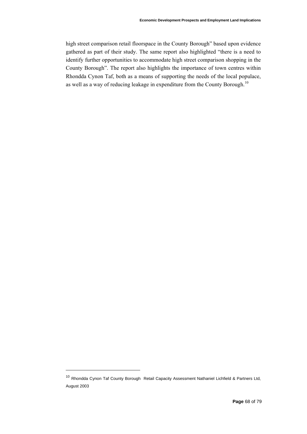high street comparison retail floorspace in the County Borough" based upon evidence gathered as part of their study. The same report also highlighted "there is a need to identify further opportunities to accommodate high street comparison shopping in the County Borough". The report also highlights the importance of town centres within Rhondda Cynon Taf, both as a means of supporting the needs of the local populace, as well as a way of reducing leakage in expenditure from the County Borough.<sup>[10](#page-67-0)</sup>

<span id="page-67-0"></span><sup>10</sup> Rhondda Cynon Taf County Borough Retail Capacity Assessment Nathaniel Lichfield & Partners Ltd, August 2003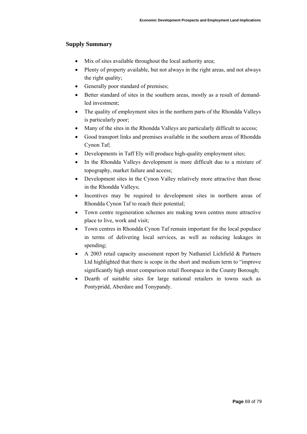## **Supply Summary**

- Mix of sites available throughout the local authority area;
- Plenty of property available, but not always in the right areas, and not always the right quality;
- Generally poor standard of premises;
- Better standard of sites in the southern areas, mostly as a result of demandled investment;
- The quality of employment sites in the northern parts of the Rhondda Valleys is particularly poor;
- Many of the sites in the Rhondda Valleys are particularly difficult to access;
- Good transport links and premises available in the southern areas of Rhondda Cynon Taf;
- Developments in Taff Ely will produce high-quality employment sites;
- In the Rhondda Valleys development is more difficult due to a mixture of topography, market failure and access;
- Development sites in the Cynon Valley relatively more attractive than those in the Rhondda Valleys;
- Incentives may be required to development sites in northern areas of Rhondda Cynon Taf to reach their potential;
- Town centre regeneration schemes are making town centres more attractive place to live, work and visit;
- Town centres in Rhondda Cynon Taf remain important for the local populace in terms of delivering local services, as well as reducing leakages in spending;
- A 2003 retail capacity assessment report by Nathaniel Lichfield & Partners Ltd highlighted that there is scope in the short and medium term to "improve significantly high street comparison retail floorspace in the County Borough;
- Dearth of suitable sites for large national retailers in towns such as Pontypridd, Aberdare and Tonypandy.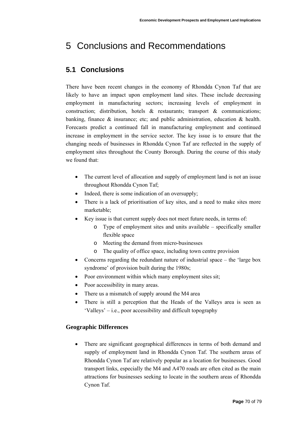# 5 Conclusions and Recommendations

# **5.1 Conclusions**

There have been recent changes in the economy of Rhondda Cynon Taf that are likely to have an impact upon employment land sites. These include decreasing employment in manufacturing sectors; increasing levels of employment in construction; distribution, hotels  $\&$  restaurants; transport  $\&$  communications; banking, finance  $\&$  insurance; etc; and public administration, education  $\&$  health. Forecasts predict a continued fall in manufacturing employment and continued increase in employment in the service sector. The key issue is to ensure that the changing needs of businesses in Rhondda Cynon Taf are reflected in the supply of employment sites throughout the County Borough. During the course of this study we found that:

- The current level of allocation and supply of employment land is not an issue throughout Rhondda Cynon Taf;
- Indeed, there is some indication of an oversupply;
- There is a lack of prioritisation of key sites, and a need to make sites more marketable;
- Key issue is that current supply does not meet future needs, in terms of:
	- o Type of employment sites and units available specifically smaller flexible space
	- o Meeting the demand from micro-businesses
	- o The quality of office space, including town centre provision
- Concerns regarding the redundant nature of industrial space the 'large box syndrome' of provision built during the 1980s;
- Poor environment within which many employment sites sit;
- Poor accessibility in many areas.
- There us a mismatch of supply around the M4 area
- There is still a perception that the Heads of the Valleys area is seen as 'Valleys' – i.e., poor accessibility and difficult topography

# **Geographic Differences**

• There are significant geographical differences in terms of both demand and supply of employment land in Rhondda Cynon Taf. The southern areas of Rhondda Cynon Taf are relatively popular as a location for businesses. Good transport links, especially the M4 and A470 roads are often cited as the main attractions for businesses seeking to locate in the southern areas of Rhondda Cynon Taf.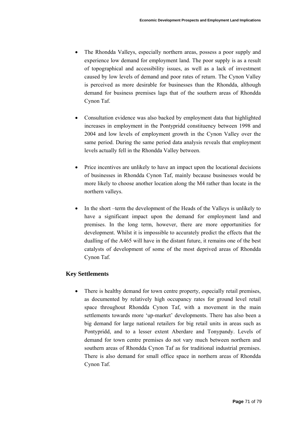- The Rhondda Valleys, especially northern areas, possess a poor supply and experience low demand for employment land. The poor supply is as a result of topographical and accessibility issues, as well as a lack of investment caused by low levels of demand and poor rates of return. The Cynon Valley is perceived as more desirable for businesses than the Rhondda, although demand for business premises lags that of the southern areas of Rhondda Cynon Taf.
- Consultation evidence was also backed by employment data that highlighted increases in employment in the Pontypridd constituency between 1998 and 2004 and low levels of employment growth in the Cynon Valley over the same period. During the same period data analysis reveals that employment levels actually fell in the Rhondda Valley between.
- Price incentives are unlikely to have an impact upon the locational decisions of businesses in Rhondda Cynon Taf, mainly because businesses would be more likely to choose another location along the M4 rather than locate in the northern valleys.
- In the short –term the development of the Heads of the Valleys is unlikely to have a significant impact upon the demand for employment land and premises. In the long term, however, there are more opportunities for development. Whilst it is impossible to accurately predict the effects that the dualling of the A465 will have in the distant future, it remains one of the best catalysts of development of some of the most deprived areas of Rhondda Cynon Taf.

## **Key Settlements**

• There is healthy demand for town centre property, especially retail premises, as documented by relatively high occupancy rates for ground level retail space throughout Rhondda Cynon Taf, with a movement in the main settlements towards more 'up-market' developments. There has also been a big demand for large national retailers for big retail units in areas such as Pontypridd, and to a lesser extent Aberdare and Tonypandy. Levels of demand for town centre premises do not vary much between northern and southern areas of Rhondda Cynon Taf as for traditional industrial premises. There is also demand for small office space in northern areas of Rhondda Cynon Taf.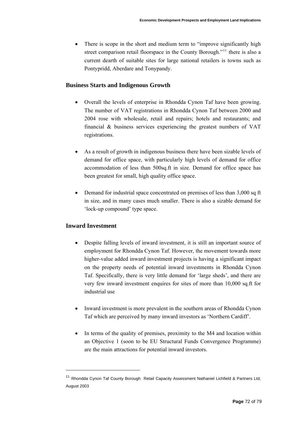• There is scope in the short and medium term to "improve significantly high street comparison retail floorspace in the County Borough."<sup>[11](#page-71-0)</sup> there is also a current dearth of suitable sites for large national retailers is towns such as Pontypridd, Aberdare and Tonypandy.

# **Business Starts and Indigenous Growth**

- Overall the levels of enterprise in Rhondda Cynon Taf have been growing. The number of VAT registrations in Rhondda Cynon Taf between 2000 and 2004 rose with wholesale, retail and repairs; hotels and restaurants; and financial & business services experiencing the greatest numbers of VAT registrations.
- As a result of growth in indigenous business there have been sizable levels of demand for office space, with particularly high levels of demand for office accommodation of less than 500sq.ft in size. Demand for office space has been greatest for small, high quality office space.
- Demand for industrial space concentrated on premises of less than 3,000 sq ft in size, and in many cases much smaller. There is also a sizable demand for 'lock-up compound' type space.

# **Inward Investment**

- Despite falling levels of inward investment, it is still an important source of employment for Rhondda Cynon Taf. However, the movement towards more higher-value added inward investment projects is having a significant impact on the property needs of potential inward investments in Rhondda Cynon Taf. Specifically, there is very little demand for 'large sheds', and there are very few inward investment enquires for sites of more than 10,000 sq.ft for industrial use
- Inward investment is more prevalent in the southern areas of Rhondda Cynon Taf which are perceived by many inward investors as 'Northern Cardiff'.
- In terms of the quality of premises, proximity to the M4 and location within an Objective 1 (soon to be EU Structural Funds Convergence Programme) are the main attractions for potential inward investors.

<span id="page-71-0"></span><sup>&</sup>lt;sup>11</sup> Rhondda Cynon Taf County Borough Retail Capacity Assessment Nathaniel Lichfield & Partners Ltd, August 2003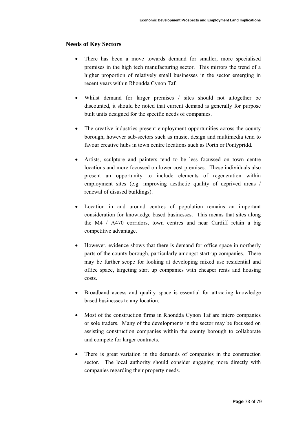#### **Needs of Key Sectors**

- There has been a move towards demand for smaller, more specialised premises in the high tech manufacturing sector. This mirrors the trend of a higher proportion of relatively small businesses in the sector emerging in recent years within Rhondda Cynon Taf.
- Whilst demand for larger premises / sites should not altogether be discounted, it should be noted that current demand is generally for purpose built units designed for the specific needs of companies.
- The creative industries present employment opportunities across the county borough, however sub-sectors such as music, design and multimedia tend to favour creative hubs in town centre locations such as Porth or Pontypridd.
- Artists, sculpture and painters tend to be less focussed on town centre locations and more focussed on lower cost premises. These individuals also present an opportunity to include elements of regeneration within employment sites (e.g. improving aesthetic quality of deprived areas / renewal of disused buildings).
- Location in and around centres of population remains an important consideration for knowledge based businesses. This means that sites along the M4 / A470 corridors, town centres and near Cardiff retain a big competitive advantage.
- However, evidence shows that there is demand for office space in northerly parts of the county borough, particularly amongst start-up companies. There may be further scope for looking at developing mixed use residential and office space, targeting start up companies with cheaper rents and housing costs.
- Broadband access and quality space is essential for attracting knowledge based businesses to any location.
- Most of the construction firms in Rhondda Cynon Taf are micro companies or sole traders. Many of the developments in the sector may be focussed on assisting construction companies within the county borough to collaborate and compete for larger contracts.
- There is great variation in the demands of companies in the construction sector. The local authority should consider engaging more directly with companies regarding their property needs.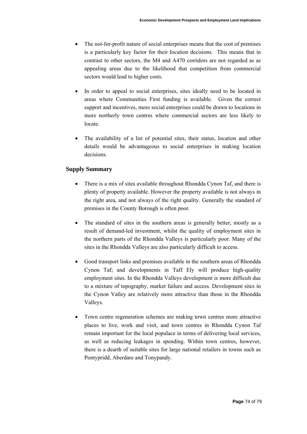- The not-for-profit nature of social enterprises means that the cost of premises is a particularly key factor for their location decisions. This means that in contrast to other sectors, the M4 and A470 corridors are not regarded as as appealing areas due to the likelihood that competition from commercial sectors would lead to higher costs.
- In order to appeal to social enterprises, sites ideally need to be located in areas where Communities First funding is available. Given the correct support and incentives, more social enterprises could be drawn to locations in more northerly town centres where commercial sectors are less likely to locate.
- The availability of a list of potential sites, their status, location and other details would be advantageous to social enterprises in making location decisions.

# **Supply Summary**

- There is a mix of sites available throughout Rhondda Cynon Taf, and there is plenty of property available. However the property available is not always in the right area, and not always of the right quality. Generally the standard of premises in the County Borough is often poor.
- The standard of sites in the southern areas is generally better, mostly as a result of demand-led investment, whilst the quality of employment sites in the northern parts of the Rhondda Valleys is particularly poor. Many of the sites in the Rhondda Valleys are also particularly difficult to access.
- Good transport links and premises available in the southern areas of Rhondda Cynon Taf; and developments in Taff Ely will produce high-quality employment sites. In the Rhondda Valleys development is more difficult due to a mixture of topography, market failure and access. Development sites in the Cynon Valley are relatively more attractive than those in the Rhondda Valleys.
- Town centre regeneration schemes are making town centres more attractive places to live, work and visit, and town centres in Rhondda Cynon Taf remain important for the local populace in terms of delivering local services, as well as reducing leakages in spending. Within town centres, however, there is a dearth of suitable sites for large national retailers in towns such as Pontypridd, Aberdare and Tonypandy.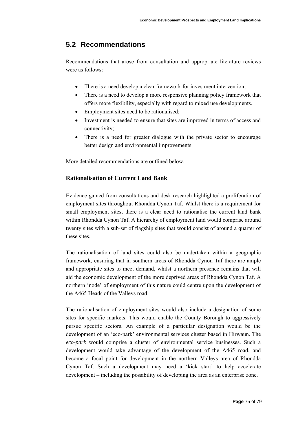# **5.2 Recommendations**

Recommendations that arose from consultation and appropriate literature reviews were as follows:

- There is a need develop a clear framework for investment intervention;
- There is a need to develop a more responsive planning policy framework that offers more flexibility, especially with regard to mixed use developments.
- Employment sites need to be rationalised;
- Investment is needed to ensure that sites are improved in terms of access and connectivity;
- There is a need for greater dialogue with the private sector to encourage better design and environmental improvements.

More detailed recommendations are outlined below.

# **Rationalisation of Current Land Bank**

Evidence gained from consultations and desk research highlighted a proliferation of employment sites throughout Rhondda Cynon Taf. Whilst there is a requirement for small employment sites, there is a clear need to rationalise the current land bank within Rhondda Cynon Taf. A hierarchy of employment land would comprise around twenty sites with a sub-set of flagship sites that would consist of around a quarter of these sites.

The rationalisation of land sites could also be undertaken within a geographic framework, ensuring that in southern areas of Rhondda Cynon Taf there are ample and appropriate sites to meet demand, whilst a northern presence remains that will aid the economic development of the more deprived areas of Rhondda Cynon Taf. A northern 'node' of employment of this nature could centre upon the development of the A465 Heads of the Valleys road.

The rationalisation of employment sites would also include a designation of some sites for specific markets. This would enable the County Borough to aggressively pursue specific sectors. An example of a particular designation would be the development of an 'eco-park' environmental services cluster based in Hirwaun. The *eco-park* would comprise a cluster of environmental service businesses. Such a development would take advantage of the development of the A465 road, and become a focal point for development in the northern Valleys area of Rhondda Cynon Taf. Such a development may need a 'kick start' to help accelerate development – including the possibility of developing the area as an enterprise zone.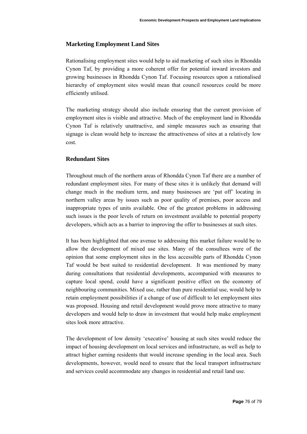#### **Marketing Employment Land Sites**

Rationalising employment sites would help to aid marketing of such sites in Rhondda Cynon Taf, by providing a more coherent offer for potential inward investors and growing businesses in Rhondda Cynon Taf. Focusing resources upon a rationalised hierarchy of employment sites would mean that council resources could be more efficiently utilised.

The marketing strategy should also include ensuring that the current provision of employment sites is visible and attractive. Much of the employment land in Rhondda Cynon Taf is relatively unattractive, and simple measures such as ensuring that signage is clean would help to increase the attractiveness of sites at a relatively low cost.

#### **Redundant Sites**

Throughout much of the northern areas of Rhondda Cynon Taf there are a number of redundant employment sites. For many of these sites it is unlikely that demand will change much in the medium term, and many businesses are 'put off' locating in northern valley areas by issues such as poor quality of premises, poor access and inappropriate types of units available. One of the greatest problems in addressing such issues is the poor levels of return on investment available to potential property developers, which acts as a barrier to improving the offer to businesses at such sites.

It has been highlighted that one avenue to addressing this market failure would be to allow the development of mixed use sites. Many of the consultees were of the opinion that some employment sites in the less accessible parts of Rhondda Cynon Taf would be best suited to residential development. It was mentioned by many during consultations that residential developments, accompanied with measures to capture local spend, could have a significant positive effect on the economy of neighbouring communities. Mixed use, rather than pure residential use, would help to retain employment possibilities if a change of use of difficult to let employment sites was proposed. Housing and retail development would prove more attractive to many developers and would help to draw in investment that would help make employment sites look more attractive.

The development of low density 'executive' housing at such sites would reduce the impact of housing development on local services and infrastructure, as well as help to attract higher earning residents that would increase spending in the local area. Such developments, however, would need to ensure that the local transport infrastructure and services could accommodate any changes in residential and retail land use.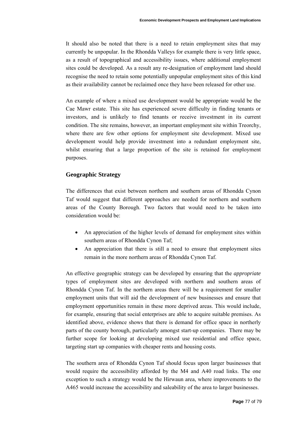It should also be noted that there is a need to retain employment sites that may currently be unpopular. In the Rhondda Valleys for example there is very little space, as a result of topographical and accessibility issues, where additional employment sites could be developed. As a result any re-designation of employment land should recognise the need to retain some potentially unpopular employment sites of this kind as their availability cannot be reclaimed once they have been released for other use.

An example of where a mixed use development would be appropriate would be the Cae Mawr estate. This site has experienced severe difficulty in finding tenants or investors, and is unlikely to find tenants or receive investment in its current condition. The site remains, however, an important employment site within Treorchy, where there are few other options for employment site development. Mixed use development would help provide investment into a redundant employment site, whilst ensuring that a large proportion of the site is retained for employment purposes.

# **Geographic Strategy**

The differences that exist between northern and southern areas of Rhondda Cynon Taf would suggest that different approaches are needed for northern and southern areas of the County Borough. Two factors that would need to be taken into consideration would be:

- An appreciation of the higher levels of demand for employment sites within southern areas of Rhondda Cynon Taf;
- An appreciation that there is still a need to ensure that employment sites remain in the more northern areas of Rhondda Cynon Taf.

An effective geographic strategy can be developed by ensuring that the *appropriate* types of employment sites are developed with northern and southern areas of Rhondda Cynon Taf. In the northern areas there will be a requirement for smaller employment units that will aid the development of new businesses and ensure that employment opportunities remain in these more deprived areas. This would include, for example, ensuring that social enterprises are able to acquire suitable premises. As identified above, evidence shows that there is demand for office space in northerly parts of the county borough, particularly amongst start-up companies. There may be further scope for looking at developing mixed use residential and office space, targeting start up companies with cheaper rents and housing costs.

The southern area of Rhondda Cynon Taf should focus upon larger businesses that would require the accessibility afforded by the M4 and A40 road links. The one exception to such a strategy would be the Hirwaun area, where improvements to the A465 would increase the accessibility and saleability of the area to larger businesses.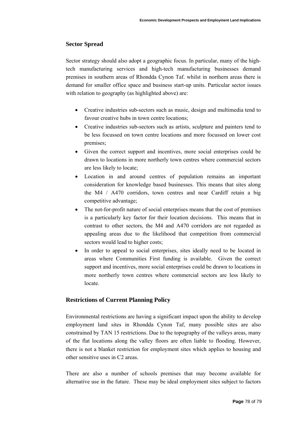# **Sector Spread**

Sector strategy should also adopt a geographic focus. In particular, many of the hightech manufacturing services and high-tech manufacturing businesses demand premises in southern areas of Rhondda Cynon Taf. whilst in northern areas there is demand for smaller office space and business start-up units. Particular sector issues with relation to geography (as highlighted above) are:

- Creative industries sub-sectors such as music, design and multimedia tend to favour creative hubs in town centre locations;
- Creative industries sub-sectors such as artists, sculpture and painters tend to be less focussed on town centre locations and more focussed on lower cost premises;
- Given the correct support and incentives, more social enterprises could be drawn to locations in more northerly town centres where commercial sectors are less likely to locate;
- Location in and around centres of population remains an important consideration for knowledge based businesses. This means that sites along the M4 / A470 corridors, town centres and near Cardiff retain a big competitive advantage;
- The not-for-profit nature of social enterprises means that the cost of premises is a particularly key factor for their location decisions. This means that in contrast to other sectors, the M4 and A470 corridors are not regarded as appealing areas due to the likelihood that competition from commercial sectors would lead to higher costs;
- In order to appeal to social enterprises, sites ideally need to be located in areas where Communities First funding is available. Given the correct support and incentives, more social enterprises could be drawn to locations in more northerly town centres where commercial sectors are less likely to locate.

# **Restrictions of Current Planning Policy**

Environmental restrictions are having a significant impact upon the ability to develop employment land sites in Rhondda Cynon Taf, many possible sites are also constrained by TAN 15 restrictions. Due to the topography of the valleys areas, many of the flat locations along the valley floors are often liable to flooding. However, there is not a blanket restriction for employment sites which applies to housing and other sensitive uses in C2 areas.

There are also a number of schools premises that may become available for alternative use in the future. These may be ideal employment sites subject to factors